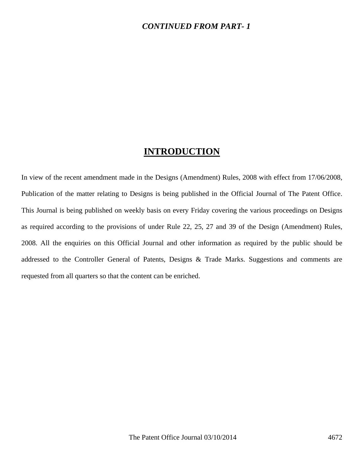#### *CONTINUED FROM PART- 1*

## **INTRODUCTION**

In view of the recent amendment made in the Designs (Amendment) Rules, 2008 with effect from 17/06/2008, Publication of the matter relating to Designs is being published in the Official Journal of The Patent Office. This Journal is being published on weekly basis on every Friday covering the various proceedings on Designs as required according to the provisions of under Rule 22, 25, 27 and 39 of the Design (Amendment) Rules, 2008. All the enquiries on this Official Journal and other information as required by the public should be addressed to the Controller General of Patents, Designs & Trade Marks. Suggestions and comments are requested from all quarters so that the content can be enriched.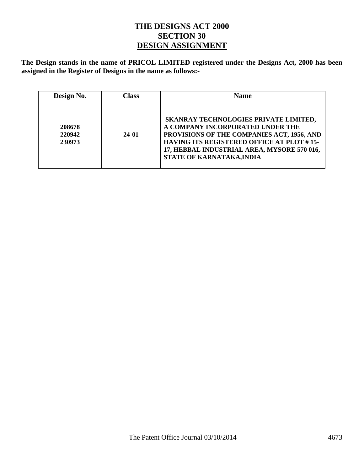#### **THE DESIGNS ACT 2000 SECTION 30 DESIGN ASSIGNMENT**

**The Design stands in the name of PRICOL LIMITED registered under the Designs Act, 2000 has been assigned in the Register of Designs in the name as follows:-** 

| Design No.                 | Class | <b>Name</b>                                                                                                                                                                                                                                             |
|----------------------------|-------|---------------------------------------------------------------------------------------------------------------------------------------------------------------------------------------------------------------------------------------------------------|
| 208678<br>220942<br>230973 | 24-01 | SKANRAY TECHNOLOGIES PRIVATE LIMITED,<br>A COMPANY INCORPORATED UNDER THE<br>PROVISIONS OF THE COMPANIES ACT, 1956, AND<br><b>HAVING ITS REGISTERED OFFICE AT PLOT #15-</b><br>17, HEBBAL INDUSTRIAL AREA, MYSORE 570 016,<br>STATE OF KARNATAKA, INDIA |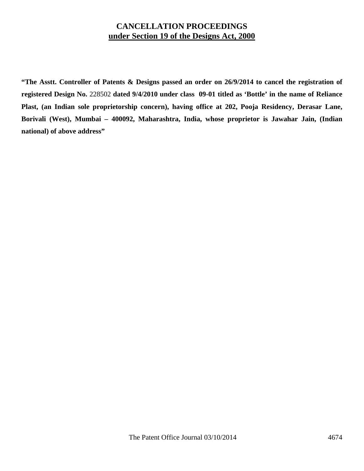### **CANCELLATION PROCEEDINGS under Section 19 of the Designs Act, 2000**

**"The Asstt. Controller of Patents & Designs passed an order on 26/9/2014 to cancel the registration of registered Design No.** 228502 **dated 9/4/2010 under class 09-01 titled as 'Bottle' in the name of Reliance Plast, (an Indian sole proprietorship concern), having office at 202, Pooja Residency, Derasar Lane, Borivali (West), Mumbai – 400092, Maharashtra, India, whose proprietor is Jawahar Jain, (Indian national) of above address"**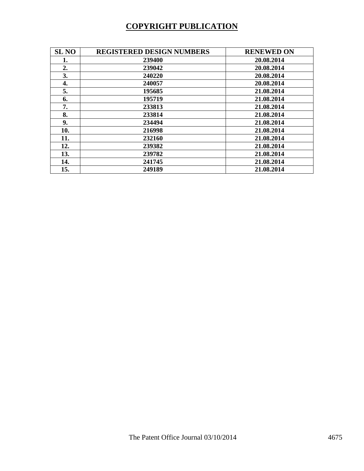# **COPYRIGHT PUBLICATION**

| <b>SL NO</b> | <b>REGISTERED DESIGN NUMBERS</b> | <b>RENEWED ON</b> |
|--------------|----------------------------------|-------------------|
| 1.           | 239400                           | 20.08.2014        |
| 2.           | 239042                           | 20.08.2014        |
| 3.           | 240220                           | 20.08.2014        |
| 4.           | 240057                           | 20.08.2014        |
| 5.           | 195685                           | 21.08.2014        |
| 6.           | 195719                           | 21.08.2014        |
| 7.           | 233813                           | 21.08.2014        |
| 8.           | 233814                           | 21.08.2014        |
| 9.           | 234494                           | 21.08.2014        |
| 10.          | 216998                           | 21.08.2014        |
| 11.          | 232160                           | 21.08.2014        |
| 12.          | 239382                           | 21.08.2014        |
| 13.          | 239782                           | 21.08.2014        |
| 14.          | 241745                           | 21.08.2014        |
| 15.          | 249189                           | 21.08.2014        |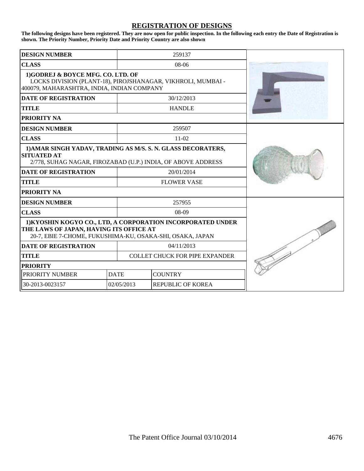#### **REGISTRATION OF DESIGNS**

**The following designs have been registered. They are now open for public inspection. In the following each entry the Date of Registration is shown. The Priority Number, Priority Date and Priority Country are also shown**

| <b>DESIGN NUMBER</b>                                                                                                                                                |             | 259137                                |  |
|---------------------------------------------------------------------------------------------------------------------------------------------------------------------|-------------|---------------------------------------|--|
| <b>CLASS</b>                                                                                                                                                        |             | $08-06$                               |  |
| 1)GODREJ & BOYCE MFG. CO. LTD. OF<br>LOCKS DIVISION (PLANT-18), PIROJSHANAGAR, VIKHROLI, MUMBAI -<br>400079, MAHARASHTRA, INDIA, INDIAN COMPANY                     |             |                                       |  |
| <b>DATE OF REGISTRATION</b>                                                                                                                                         |             | 30/12/2013                            |  |
| <b>TITLE</b>                                                                                                                                                        |             | <b>HANDLE</b>                         |  |
| <b>PRIORITY NA</b>                                                                                                                                                  |             |                                       |  |
| <b>DESIGN NUMBER</b>                                                                                                                                                |             | 259507                                |  |
| <b>CLASS</b>                                                                                                                                                        |             | $11-02$                               |  |
| 1) AMAR SINGH YADAV, TRADING AS M/S. S. N. GLASS DECORATERS,<br><b>SITUATED AT</b><br>2/778, SUHAG NAGAR, FIROZABAD (U.P.) INDIA, OF ABOVE ADDRESS                  |             |                                       |  |
| <b>DATE OF REGISTRATION</b>                                                                                                                                         |             | 20/01/2014                            |  |
| <b>TITLE</b>                                                                                                                                                        |             | <b>FLOWER VASE</b>                    |  |
| <b>PRIORITY NA</b>                                                                                                                                                  |             |                                       |  |
| <b>DESIGN NUMBER</b>                                                                                                                                                |             | 257955                                |  |
| <b>CLASS</b>                                                                                                                                                        |             | $08-09$                               |  |
| 1) KYOSHIN KOGYO CO., LTD, A CORPORATION INCORPORATED UNDER<br>THE LAWS OF JAPAN, HAVING ITS OFFICE AT<br>20-7, EBIE 7-CHOME, FUKUSHIMA-KU, OSAKA-SHI, OSAKA, JAPAN |             |                                       |  |
| <b>DATE OF REGISTRATION</b>                                                                                                                                         |             | 04/11/2013                            |  |
| <b>TITLE</b>                                                                                                                                                        |             | <b>COLLET CHUCK FOR PIPE EXPANDER</b> |  |
| <b>PRIORITY</b>                                                                                                                                                     |             |                                       |  |
| PRIORITY NUMBER                                                                                                                                                     | <b>DATE</b> | <b>COUNTRY</b>                        |  |
| 30-2013-0023157                                                                                                                                                     | 02/05/2013  | REPUBLIC OF KOREA                     |  |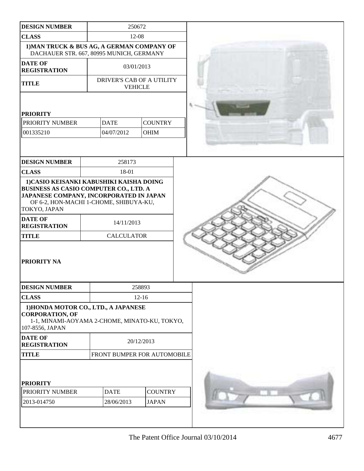| <b>DESIGN NUMBER</b>                                                                                                                                          |                             | 250672                                      |  |
|---------------------------------------------------------------------------------------------------------------------------------------------------------------|-----------------------------|---------------------------------------------|--|
| <b>CLASS</b>                                                                                                                                                  | 12-08                       |                                             |  |
| 1) MAN TRUCK & BUS AG, A GERMAN COMPANY OF<br>DACHAUER STR. 667, 80995 MUNICH, GERMANY                                                                        |                             |                                             |  |
| <b>DATE OF</b><br><b>REGISTRATION</b>                                                                                                                         | 03/01/2013                  |                                             |  |
| <b>TITLE</b>                                                                                                                                                  |                             | DRIVER'S CAB OF A UTILITY<br><b>VEHICLE</b> |  |
|                                                                                                                                                               |                             |                                             |  |
| <b>PRIORITY</b><br>PRIORITY NUMBER                                                                                                                            | <b>DATE</b>                 | <b>COUNTRY</b>                              |  |
| 001335210                                                                                                                                                     | 04/07/2012                  | <b>OHIM</b>                                 |  |
|                                                                                                                                                               |                             |                                             |  |
| <b>DESIGN NUMBER</b>                                                                                                                                          | 258173                      |                                             |  |
| <b>CLASS</b>                                                                                                                                                  | 18-01                       |                                             |  |
| BUSINESS AS CASIO COMPUTER CO., LTD. A<br>JAPANESE COMPANY, INCORPORATED IN JAPAN<br>OF 6-2, HON-MACHI 1-CHOME, SHIBUYA-KU,<br>TOKYO, JAPAN<br><b>DATE OF</b> |                             |                                             |  |
| <b>REGISTRATION</b>                                                                                                                                           | 14/11/2013                  |                                             |  |
| <b>TITLE</b>                                                                                                                                                  | <b>CALCULATOR</b>           |                                             |  |
| PRIORITY NA                                                                                                                                                   |                             |                                             |  |
| <b>DESIGN NUMBER</b>                                                                                                                                          |                             | 258893                                      |  |
| <b>CLASS</b>                                                                                                                                                  | $12 - 16$                   |                                             |  |
| 1) HONDA MOTOR CO., LTD., A JAPANESE<br><b>CORPORATION, OF</b><br>1-1, MINAMI-AOYAMA 2-CHOME, MINATO-KU, TOKYO,<br>107-8556, JAPAN                            |                             |                                             |  |
| <b>DATE OF</b><br><b>REGISTRATION</b>                                                                                                                         | 20/12/2013                  |                                             |  |
| <b>TITLE</b>                                                                                                                                                  | FRONT BUMPER FOR AUTOMOBILE |                                             |  |
| <b>PRIORITY</b>                                                                                                                                               |                             |                                             |  |
| PRIORITY NUMBER                                                                                                                                               | <b>DATE</b>                 | <b>COUNTRY</b>                              |  |
| 2013-014750                                                                                                                                                   | 28/06/2013                  | <b>JAPAN</b>                                |  |
|                                                                                                                                                               |                             |                                             |  |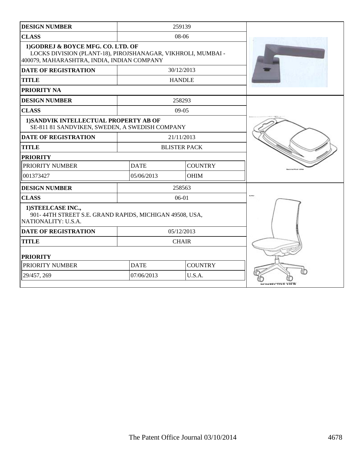| <b>DESIGN NUMBER</b>                                                                                                                             | 259139      |                     |                       |
|--------------------------------------------------------------------------------------------------------------------------------------------------|-------------|---------------------|-----------------------|
| <b>CLASS</b>                                                                                                                                     |             | 08-06               |                       |
| 1) GODREJ & BOYCE MFG. CO. LTD. OF<br>LOCKS DIVISION (PLANT-18), PIROJSHANAGAR, VIKHROLI, MUMBAI -<br>400079, MAHARASHTRA, INDIA, INDIAN COMPANY |             |                     |                       |
| <b>DATE OF REGISTRATION</b>                                                                                                                      |             | 30/12/2013          |                       |
| <b>TITLE</b>                                                                                                                                     |             | <b>HANDLE</b>       |                       |
| <b>PRIORITY NA</b>                                                                                                                               |             |                     |                       |
| <b>DESIGN NUMBER</b>                                                                                                                             |             | 258293              |                       |
| <b>CLASS</b>                                                                                                                                     |             | $09-05$             |                       |
| 1) SANDVIK INTELLECTUAL PROPERTY AB OF<br>SE-811 81 SANDVIKEN, SWEDEN, A SWEDISH COMPANY                                                         |             |                     |                       |
| <b>DATE OF REGISTRATION</b>                                                                                                                      |             | 21/11/2013          |                       |
| <b>TITLE</b>                                                                                                                                     |             | <b>BLISTER PACK</b> |                       |
| <b>PRIORITY</b>                                                                                                                                  |             |                     |                       |
| PRIORITY NUMBER                                                                                                                                  | <b>DATE</b> | <b>COUNTRY</b>      |                       |
| 001373427                                                                                                                                        | 05/06/2013  | <b>OHIM</b>         |                       |
| <b>DESIGN NUMBER</b>                                                                                                                             |             | 258563              |                       |
| <b>CLASS</b>                                                                                                                                     |             | 06-01               |                       |
| 1) STEELCASE INC.,<br>901-44TH STREET S.E. GRAND RAPIDS, MICHIGAN 49508, USA,<br>NATIONALITY: U.S.A.                                             |             |                     |                       |
| <b>DATE OF REGISTRATION</b>                                                                                                                      |             | 05/12/2013          |                       |
| <b>TITLE</b>                                                                                                                                     |             | <b>CHAIR</b>        |                       |
| <b>PRIORITY</b>                                                                                                                                  |             |                     |                       |
| PRIORITY NUMBER                                                                                                                                  | <b>DATE</b> | <b>COUNTRY</b>      |                       |
| 29/457, 269                                                                                                                                      | 07/06/2013  | U.S.A.              | <b>BEBERTIVE VIEW</b> |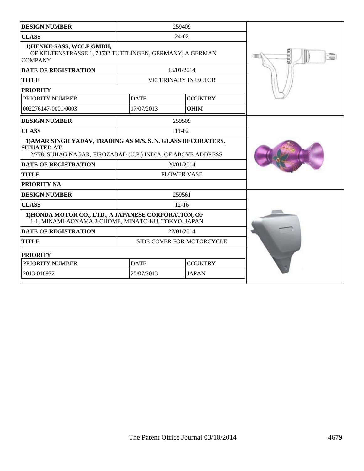| <b>DESIGN NUMBER</b>                                                                                                                               | 259409      |                            |  |
|----------------------------------------------------------------------------------------------------------------------------------------------------|-------------|----------------------------|--|
| <b>CLASS</b>                                                                                                                                       |             | 24-02                      |  |
| 1) HENKE-SASS, WOLF GMBH,<br>OF KELTENSTRASSE 1, 78532 TUTTLINGEN, GERMANY, A GERMAN<br><b>COMPANY</b>                                             |             |                            |  |
| <b>DATE OF REGISTRATION</b>                                                                                                                        |             | 15/01/2014                 |  |
| <b>TITLE</b>                                                                                                                                       |             | <b>VETERINARY INJECTOR</b> |  |
| <b>PRIORITY</b>                                                                                                                                    |             |                            |  |
| PRIORITY NUMBER                                                                                                                                    | <b>DATE</b> | <b>COUNTRY</b>             |  |
| 002276147-0001/0003                                                                                                                                | 17/07/2013  | <b>OHIM</b>                |  |
| <b>DESIGN NUMBER</b>                                                                                                                               |             | 259509                     |  |
| <b>CLASS</b>                                                                                                                                       |             | $11-02$                    |  |
| 1) AMAR SINGH YADAV, TRADING AS M/S. S. N. GLASS DECORATERS,<br><b>SITUATED AT</b><br>2/778, SUHAG NAGAR, FIROZABAD (U.P.) INDIA, OF ABOVE ADDRESS |             |                            |  |
| <b>DATE OF REGISTRATION</b>                                                                                                                        |             | 20/01/2014                 |  |
| <b>TITLE</b>                                                                                                                                       |             | <b>FLOWER VASE</b>         |  |
| <b>PRIORITY NA</b>                                                                                                                                 |             |                            |  |
| <b>DESIGN NUMBER</b>                                                                                                                               |             | 259561                     |  |
| <b>CLASS</b>                                                                                                                                       |             | $12 - 16$                  |  |
| 1) HONDA MOTOR CO., LTD., A JAPANESE CORPORATION, OF<br>1-1, MINAMI-AOYAMA 2-CHOME, MINATO-KU, TOKYO, JAPAN                                        |             |                            |  |
| <b>DATE OF REGISTRATION</b>                                                                                                                        |             | 22/01/2014                 |  |
| <b>TITLE</b>                                                                                                                                       |             | SIDE COVER FOR MOTORCYCLE  |  |
| <b>PRIORITY</b>                                                                                                                                    |             |                            |  |
| PRIORITY NUMBER                                                                                                                                    | <b>DATE</b> | <b>COUNTRY</b>             |  |
| 2013-016972                                                                                                                                        | 25/07/2013  | <b>JAPAN</b>               |  |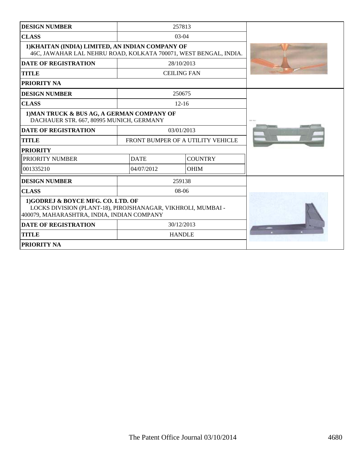| 257813<br><b>DESIGN NUMBER</b>                                                                                                                  |             |                                   |  |
|-------------------------------------------------------------------------------------------------------------------------------------------------|-------------|-----------------------------------|--|
| <b>CLASS</b>                                                                                                                                    | $03-04$     |                                   |  |
| 1) KHAITAN (INDIA) LIMITED, AN INDIAN COMPANY OF<br>46C, JAWAHAR LAL NEHRU ROAD, KOLKATA 700071, WEST BENGAL, INDIA.                            |             |                                   |  |
| <b>DATE OF REGISTRATION</b>                                                                                                                     |             | 28/10/2013                        |  |
| <b>TITLE</b>                                                                                                                                    |             | <b>CEILING FAN</b>                |  |
| PRIORITY NA                                                                                                                                     |             |                                   |  |
| <b>DESIGN NUMBER</b>                                                                                                                            |             | 250675                            |  |
| <b>CLASS</b>                                                                                                                                    |             | $12 - 16$                         |  |
| 1) MAN TRUCK & BUS AG, A GERMAN COMPANY OF<br>DACHAUER STR. 667, 80995 MUNICH, GERMANY                                                          |             |                                   |  |
| <b>DATE OF REGISTRATION</b>                                                                                                                     |             | 03/01/2013                        |  |
| <b>TITLE</b>                                                                                                                                    |             | FRONT BUMPER OF A UTILITY VEHICLE |  |
| <b>PRIORITY</b>                                                                                                                                 |             |                                   |  |
| PRIORITY NUMBER                                                                                                                                 | <b>DATE</b> | <b>COUNTRY</b>                    |  |
| 001335210                                                                                                                                       | 04/07/2012  | <b>OHIM</b>                       |  |
| <b>DESIGN NUMBER</b>                                                                                                                            |             | 259138                            |  |
| <b>CLASS</b>                                                                                                                                    |             | 08-06                             |  |
| 1)GODREJ & BOYCE MFG. CO. LTD. OF<br>LOCKS DIVISION (PLANT-18), PIROJSHANAGAR, VIKHROLI, MUMBAI -<br>400079, MAHARASHTRA, INDIA, INDIAN COMPANY |             |                                   |  |
| <b>DATE OF REGISTRATION</b>                                                                                                                     |             | 30/12/2013                        |  |
| <b>TITLE</b>                                                                                                                                    |             | <b>HANDLE</b>                     |  |
| PRIORITY NA                                                                                                                                     |             |                                   |  |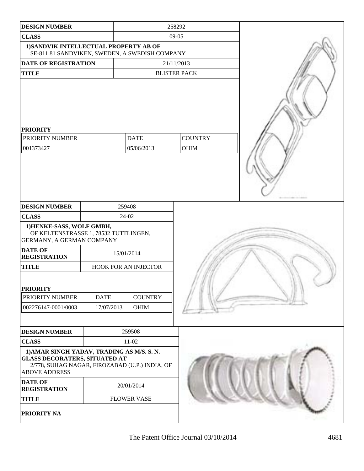| <b>DESIGN NUMBER</b>                                                                                                                                         |                                                     |                               | 258292              |  |
|--------------------------------------------------------------------------------------------------------------------------------------------------------------|-----------------------------------------------------|-------------------------------|---------------------|--|
| <b>CLASS</b>                                                                                                                                                 |                                                     |                               | 09-05               |  |
| 1) SANDVIK INTELLECTUAL PROPERTY AB OF<br>SE-811 81 SANDVIKEN, SWEDEN, A SWEDISH COMPANY                                                                     |                                                     |                               |                     |  |
| DATE OF REGISTRATION                                                                                                                                         |                                                     |                               | 21/11/2013          |  |
| <b>TITLE</b>                                                                                                                                                 |                                                     |                               | <b>BLISTER PACK</b> |  |
| <b>PRIORITY</b><br>PRIORITY NUMBER<br><b>DATE</b><br>001373427<br>05/06/2013                                                                                 |                                                     | <b>COUNTRY</b><br><b>OHIM</b> |                     |  |
| <b>DESIGN NUMBER</b>                                                                                                                                         |                                                     | 259408                        |                     |  |
| <b>CLASS</b>                                                                                                                                                 |                                                     | 24-02                         |                     |  |
| 1) HENKE-SASS, WOLF GMBH,<br>OF KELTENSTRASSE 1, 78532 TUTTLINGEN,<br>GERMANY, A GERMAN COMPANY<br><b>DATE OF</b>                                            |                                                     |                               |                     |  |
| <b>REGISTRATION</b>                                                                                                                                          | 15/01/2014                                          |                               |                     |  |
| <b>TITLE</b>                                                                                                                                                 | HOOK FOR AN INJECTOR                                |                               |                     |  |
| <b>PRIORITY</b><br>PRIORITY NUMBER<br>002276147-0001/0003                                                                                                    | <b>COUNTRY</b><br><b>DATE</b><br>17/07/2013<br>OHIM |                               |                     |  |
| <b>DESIGN NUMBER</b>                                                                                                                                         | 259508                                              |                               |                     |  |
| <b>CLASS</b>                                                                                                                                                 | $11-02$                                             |                               |                     |  |
| 1) AMAR SINGH YADAV, TRADING AS M/S. S. N.<br><b>GLASS DECORATERS, SITUATED AT</b><br>2/778, SUHAG NAGAR, FIROZABAD (U.P.) INDIA, OF<br><b>ABOVE ADDRESS</b> |                                                     |                               |                     |  |
| <b>DATE OF</b><br><b>REGISTRATION</b>                                                                                                                        |                                                     | 20/01/2014                    |                     |  |
| <b>TITLE</b>                                                                                                                                                 |                                                     | <b>FLOWER VASE</b>            |                     |  |
| PRIORITY NA                                                                                                                                                  |                                                     |                               |                     |  |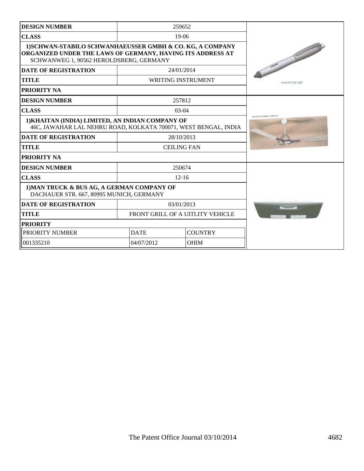| <b>DESIGN NUMBER</b>                                                                                                                                               | 259652                           |                           |                         |
|--------------------------------------------------------------------------------------------------------------------------------------------------------------------|----------------------------------|---------------------------|-------------------------|
| <b>CLASS</b>                                                                                                                                                       | $19-06$                          |                           |                         |
| 1) SCHWAN-STABILO SCHWANHAEUSSER GMBH & CO. KG, A COMPANY<br>ORGANIZED UNDER THE LAWS OF GERMANY, HAVING ITS ADDRESS AT<br>SCHWANWEG 1, 90562 HEROLDSBERG, GERMANY |                                  |                           |                         |
| <b>DATE OF REGISTRATION</b>                                                                                                                                        |                                  | 24/01/2014                |                         |
| <b>TITLE</b>                                                                                                                                                       |                                  | <b>WRITING INSTRUMENT</b> | <b>MEASABOTIVE VIEW</b> |
| <b>PRIORITY NA</b>                                                                                                                                                 |                                  |                           |                         |
| <b>DESIGN NUMBER</b>                                                                                                                                               |                                  | 257812                    |                         |
| <b>CLASS</b>                                                                                                                                                       |                                  | $03-04$                   |                         |
| 1) KHAITAN (INDIA) LIMITED, AN INDIAN COMPANY OF<br>46C, JAWAHAR LAL NEHRU ROAD, KOLKATA 700071, WEST BENGAL, INDIA                                                | KINNEL AN IONNELL LOWER          |                           |                         |
| <b>DATE OF REGISTRATION</b>                                                                                                                                        | 28/10/2013                       |                           |                         |
| <b>TITLE</b>                                                                                                                                                       | <b>CEILING FAN</b>               |                           |                         |
| <b>PRIORITY NA</b>                                                                                                                                                 |                                  |                           |                         |
| <b>DESIGN NUMBER</b>                                                                                                                                               |                                  | 250674                    |                         |
| <b>CLASS</b>                                                                                                                                                       | $12 - 16$                        |                           |                         |
| 1) MAN TRUCK & BUS AG, A GERMAN COMPANY OF<br>DACHAUER STR. 667, 80995 MUNICH, GERMANY                                                                             |                                  |                           |                         |
| <b>DATE OF REGISTRATION</b>                                                                                                                                        |                                  | 03/01/2013                |                         |
| <b>TITLE</b>                                                                                                                                                       | FRONT GRILL OF A UITLITY VEHICLE |                           |                         |
| <b>PRIORITY</b>                                                                                                                                                    |                                  |                           |                         |
| PRIORITY NUMBER                                                                                                                                                    | <b>DATE</b>                      | <b>COUNTRY</b>            |                         |
| 001335210                                                                                                                                                          | 04/07/2012                       | <b>OHIM</b>               |                         |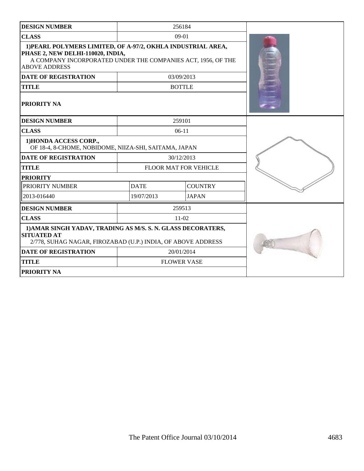| <b>DESIGN NUMBER</b>                                                                                                                                                                      |             | 256184                |  |
|-------------------------------------------------------------------------------------------------------------------------------------------------------------------------------------------|-------------|-----------------------|--|
| <b>CLASS</b>                                                                                                                                                                              |             | $09-01$               |  |
| 1) PEARL POLYMERS LIMITED, OF A-97/2, OKHLA INDUSTRIAL AREA,<br>PHASE 2, NEW DELHI-110020, INDIA,<br>A COMPANY INCORPORATED UNDER THE COMPANIES ACT, 1956, OF THE<br><b>ABOVE ADDRESS</b> |             |                       |  |
| <b>DATE OF REGISTRATION</b>                                                                                                                                                               |             | 03/09/2013            |  |
| <b>TITLE</b>                                                                                                                                                                              |             | <b>BOTTLE</b>         |  |
| <b>PRIORITY NA</b>                                                                                                                                                                        |             |                       |  |
| <b>DESIGN NUMBER</b>                                                                                                                                                                      |             | 259101                |  |
| <b>CLASS</b>                                                                                                                                                                              |             | $06-11$               |  |
| 1) HONDA ACCESS CORP.,<br>OF 18-4, 8-CHOME, NOBIDOME, NIIZA-SHI, SAITAMA, JAPAN                                                                                                           |             |                       |  |
| <b>DATE OF REGISTRATION</b>                                                                                                                                                               |             | 30/12/2013            |  |
| <b>TITLE</b>                                                                                                                                                                              |             | FLOOR MAT FOR VEHICLE |  |
| <b>PRIORITY</b>                                                                                                                                                                           |             |                       |  |
| PRIORITY NUMBER                                                                                                                                                                           | <b>DATE</b> | <b>COUNTRY</b>        |  |
| 2013-016440                                                                                                                                                                               | 19/07/2013  | <b>JAPAN</b>          |  |
| <b>DESIGN NUMBER</b>                                                                                                                                                                      |             | 259513                |  |
| <b>CLASS</b>                                                                                                                                                                              |             | $11-02$               |  |
| 1) AMAR SINGH YADAV, TRADING AS M/S. S. N. GLASS DECORATERS,<br><b>SITUATED AT</b><br>2/778, SUHAG NAGAR, FIROZABAD (U.P.) INDIA, OF ABOVE ADDRESS                                        |             |                       |  |
| <b>DATE OF REGISTRATION</b>                                                                                                                                                               |             | 20/01/2014            |  |
| <b>TITLE</b>                                                                                                                                                                              |             | <b>FLOWER VASE</b>    |  |
| <b>PRIORITY NA</b>                                                                                                                                                                        |             |                       |  |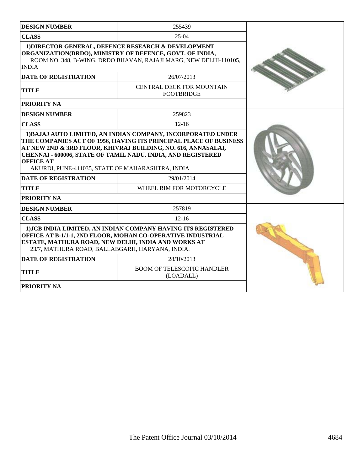| <b>DESIGN NUMBER</b>                                                                                                                                                                                                                                                                                             | 255439                                         |  |
|------------------------------------------------------------------------------------------------------------------------------------------------------------------------------------------------------------------------------------------------------------------------------------------------------------------|------------------------------------------------|--|
| <b>CLASS</b>                                                                                                                                                                                                                                                                                                     | $25-04$                                        |  |
| 1) DIRECTOR GENERAL, DEFENCE RESEARCH & DEVELOPMENT<br>ORGANIZATION(DRDO), MINISTRY OF DEFENCE, GOVT. OF INDIA,<br>ROOM NO. 348, B-WING, DRDO BHAVAN, RAJAJI MARG, NEW DELHI-110105,<br><b>INDIA</b>                                                                                                             |                                                |  |
| <b>DATE OF REGISTRATION</b>                                                                                                                                                                                                                                                                                      | 26/07/2013                                     |  |
| <b>TITLE</b>                                                                                                                                                                                                                                                                                                     | CENTRAL DECK FOR MOUNTAIN<br><b>FOOTBRIDGE</b> |  |
| PRIORITY NA                                                                                                                                                                                                                                                                                                      |                                                |  |
| <b>DESIGN NUMBER</b>                                                                                                                                                                                                                                                                                             | 259823                                         |  |
| <b>CLASS</b>                                                                                                                                                                                                                                                                                                     | $12 - 16$                                      |  |
| THE COMPANIES ACT OF 1956, HAVING ITS PRINCIPAL PLACE OF BUSINESS<br>AT NEW 2ND & 3RD FLOOR, KHIVRAJ BUILDING, NO. 616, ANNASALAI,<br><b>CHENNAI - 600006, STATE OF TAMIL NADU, INDIA, AND REGISTERED</b><br><b>OFFICE AT</b><br>AKURDI, PUNE-411035, STATE OF MAHARASHTRA, INDIA<br><b>DATE OF REGISTRATION</b> |                                                |  |
| <b>TITLE</b>                                                                                                                                                                                                                                                                                                     | 29/01/2014<br>WHEEL RIM FOR MOTORCYCLE         |  |
| PRIORITY NA                                                                                                                                                                                                                                                                                                      |                                                |  |
| <b>DESIGN NUMBER</b>                                                                                                                                                                                                                                                                                             | 257819                                         |  |
| <b>CLASS</b>                                                                                                                                                                                                                                                                                                     | $12 - 16$                                      |  |
| 1) JCB INDIA LIMITED, AN INDIAN COMPANY HAVING ITS REGISTERED<br>OFFICE AT B-1/1-1, 2ND FLOOR, MOHAN CO-OPERATIVE INDUSTRIAL<br>ESTATE, MATHURA ROAD, NEW DELHI, INDIA AND WORKS AT<br>23/7, MATHURA ROAD, BALLABGARH, HARYANA, INDIA.                                                                           |                                                |  |
| <b>DATE OF REGISTRATION</b>                                                                                                                                                                                                                                                                                      | 28/10/2013                                     |  |
| <b>BOOM OF TELESCOPIC HANDLER</b><br><b>TITLE</b><br>(LOADALL)                                                                                                                                                                                                                                                   |                                                |  |
| PRIORITY NA                                                                                                                                                                                                                                                                                                      |                                                |  |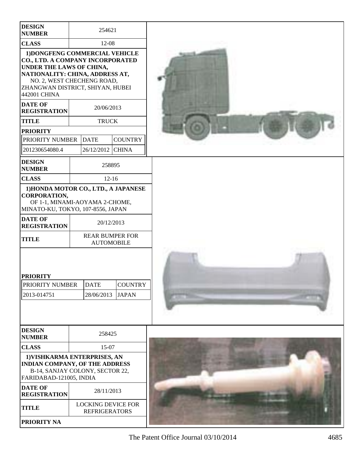| <b>DESIGN</b><br><b>NUMBER</b>                                                                                                                                                                                      |            | 254621                                            |                                |  |
|---------------------------------------------------------------------------------------------------------------------------------------------------------------------------------------------------------------------|------------|---------------------------------------------------|--------------------------------|--|
| <b>CLASS</b>                                                                                                                                                                                                        | 12-08      |                                                   |                                |  |
| 1) DONGFENG COMMERCIAL VEHICLE<br>CO., LTD. A COMPANY INCORPORATED<br>UNDER THE LAWS OF CHINA,<br>NATIONALITY: CHINA, ADDRESS AT,<br>NO. 2, WEST CHECHENG ROAD,<br>ZHANGWAN DISTRICT, SHIYAN, HUBEI<br>442001 CHINA |            |                                                   |                                |  |
| <b>DATE OF</b><br><b>REGISTRATION</b>                                                                                                                                                                               |            | 20/06/2013                                        |                                |  |
| <b>TITLE</b>                                                                                                                                                                                                        |            | <b>TRUCK</b>                                      |                                |  |
| <b>PRIORITY</b>                                                                                                                                                                                                     |            |                                                   |                                |  |
| <b>PRIORITY NUMBER</b>                                                                                                                                                                                              |            | <b>DATE</b>                                       | <b>COUNTRY</b>                 |  |
| 201230654080.4                                                                                                                                                                                                      |            | 26/12/2012                                        | <b>CHINA</b>                   |  |
| <b>DESIGN</b><br><b>NUMBER</b>                                                                                                                                                                                      |            | 258895                                            |                                |  |
| <b>CLASS</b>                                                                                                                                                                                                        |            | $12-16$                                           |                                |  |
| 1) HONDA MOTOR CO., LTD., A JAPANESE<br><b>CORPORATION,</b><br>OF 1-1, MINAMI-AOYAMA 2-CHOME,<br>MINATO-KU, TOKYO, 107-8556, JAPAN                                                                                  |            |                                                   |                                |  |
| <b>DATE OF</b><br><b>REGISTRATION</b>                                                                                                                                                                               | 20/12/2013 |                                                   |                                |  |
| <b>TITLE</b>                                                                                                                                                                                                        |            | <b>REAR BUMPER FOR</b><br><b>AUTOMOBILE</b>       |                                |  |
| <b>PRIORITY</b><br><b>PRIORITY NUMBER</b><br>2013-014751                                                                                                                                                            |            | <b>DATE</b><br>28/06/2013                         | <b>COUNTRY</b><br><b>JAPAN</b> |  |
| <b>DESIGN</b><br><b>NUMBER</b>                                                                                                                                                                                      | 258425     |                                                   |                                |  |
| <b>CLASS</b>                                                                                                                                                                                                        | 15-07      |                                                   |                                |  |
| 1) VISHKARMA ENTERPRISES, AN<br>INDIAN COMPANY, OF THE ADDRESS<br>B-14, SANJAY COLONY, SECTOR 22,<br>FARIDABAD-121005, INDIA                                                                                        |            |                                                   |                                |  |
| <b>DATE OF</b><br><b>REGISTRATION</b>                                                                                                                                                                               | 28/11/2013 |                                                   |                                |  |
| <b>TITLE</b>                                                                                                                                                                                                        |            | <b>LOCKING DEVICE FOR</b><br><b>REFRIGERATORS</b> |                                |  |
| PRIORITY NA                                                                                                                                                                                                         |            |                                                   |                                |  |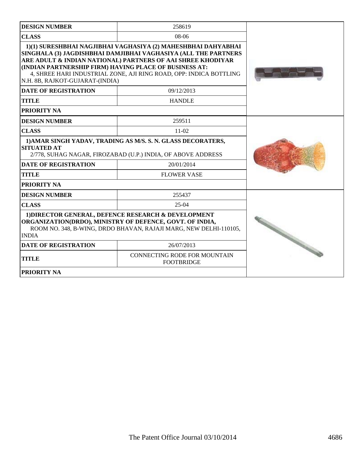| <b>DESIGN NUMBER</b>                                                                                                                                                                                 | 258619                                                                                                                                                                                                                                                               |                                         |
|------------------------------------------------------------------------------------------------------------------------------------------------------------------------------------------------------|----------------------------------------------------------------------------------------------------------------------------------------------------------------------------------------------------------------------------------------------------------------------|-----------------------------------------|
| <b>CLASS</b>                                                                                                                                                                                         | $08-06$                                                                                                                                                                                                                                                              |                                         |
| (INDIAN PARTNERSHIP FIRM) HAVING PLACE OF BUSINESS AT:<br>N.H. 8B, RAJKOT-GUJARAT-(INDIA)                                                                                                            | 1)(1) SURESHBHAI NAGJIBHAI VAGHASIYA (2) MAHESHBHAI DAHYABHAI<br>SINGHALA (3) JAGDISHBHAI DAMJIBHAI VAGHASIYA (ALL THE PARTNERS<br>ARE ADULT & INDIAN NATIONAL) PARTNERS OF AAI SHREE KHODIYAR<br>4, SHREE HARI INDUSTRIAL ZONE, AJI RING ROAD, OPP: INDICA BOTTLING |                                         |
| <b>DATE OF REGISTRATION</b>                                                                                                                                                                          | 09/12/2013                                                                                                                                                                                                                                                           |                                         |
| <b>TITLE</b>                                                                                                                                                                                         | <b>HANDLE</b>                                                                                                                                                                                                                                                        |                                         |
| PRIORITY NA                                                                                                                                                                                          |                                                                                                                                                                                                                                                                      |                                         |
| <b>DESIGN NUMBER</b>                                                                                                                                                                                 | 259511                                                                                                                                                                                                                                                               |                                         |
| <b>CLASS</b>                                                                                                                                                                                         | $11-02$                                                                                                                                                                                                                                                              |                                         |
| 1) AMAR SINGH YADAV, TRADING AS M/S. S. N. GLASS DECORATERS,<br><b>SITUATED AT</b><br>2/778, SUHAG NAGAR, FIROZABAD (U.P.) INDIA, OF ABOVE ADDRESS                                                   |                                                                                                                                                                                                                                                                      |                                         |
| <b>DATE OF REGISTRATION</b>                                                                                                                                                                          | 20/01/2014                                                                                                                                                                                                                                                           |                                         |
| <b>TITLE</b>                                                                                                                                                                                         | <b>FLOWER VASE</b>                                                                                                                                                                                                                                                   |                                         |
| PRIORITY NA                                                                                                                                                                                          |                                                                                                                                                                                                                                                                      |                                         |
| <b>DESIGN NUMBER</b>                                                                                                                                                                                 | 255437                                                                                                                                                                                                                                                               |                                         |
| <b>CLASS</b>                                                                                                                                                                                         | $25-04$                                                                                                                                                                                                                                                              |                                         |
| 1) DIRECTOR GENERAL, DEFENCE RESEARCH & DEVELOPMENT<br>ORGANIZATION(DRDO), MINISTRY OF DEFENCE, GOVT. OF INDIA,<br>ROOM NO. 348, B-WING, DRDO BHAVAN, RAJAJI MARG, NEW DELHI-110105,<br><b>INDIA</b> |                                                                                                                                                                                                                                                                      |                                         |
| <b>DATE OF REGISTRATION</b>                                                                                                                                                                          | 26/07/2013                                                                                                                                                                                                                                                           | <b>Contact of Contact of Contact of</b> |
| TITLE                                                                                                                                                                                                | CONNECTING RODE FOR MOUNTAIN<br><b>FOOTBRIDGE</b>                                                                                                                                                                                                                    |                                         |
| <b>PRIORITY NA</b>                                                                                                                                                                                   |                                                                                                                                                                                                                                                                      |                                         |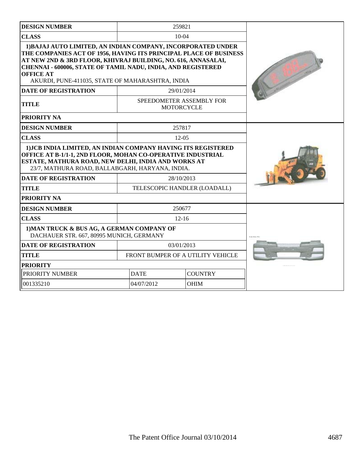| <b>DESIGN NUMBER</b>                                                                                                                                                                                                                                                                                                                       |                                   | 259821                                        |  |
|--------------------------------------------------------------------------------------------------------------------------------------------------------------------------------------------------------------------------------------------------------------------------------------------------------------------------------------------|-----------------------------------|-----------------------------------------------|--|
| <b>CLASS</b>                                                                                                                                                                                                                                                                                                                               |                                   | $10-04$                                       |  |
| 1) BAJAJ AUTO LIMITED, AN INDIAN COMPANY, INCORPORATED UNDER<br>THE COMPANIES ACT OF 1956, HAVING ITS PRINCIPAL PLACE OF BUSINESS<br>AT NEW 2ND & 3RD FLOOR, KHIVRAJ BUILDING, NO. 616, ANNASALAI,<br>CHENNAI - 600006, STATE OF TAMIL NADU, INDIA, AND REGISTERED<br><b>OFFICE AT</b><br>AKURDI, PUNE-411035, STATE OF MAHARASHTRA, INDIA |                                   |                                               |  |
| <b>DATE OF REGISTRATION</b>                                                                                                                                                                                                                                                                                                                |                                   | 29/01/2014                                    |  |
| <b>TITLE</b>                                                                                                                                                                                                                                                                                                                               |                                   | SPEEDOMETER ASSEMBLY FOR<br><b>MOTORCYCLE</b> |  |
| PRIORITY NA                                                                                                                                                                                                                                                                                                                                |                                   |                                               |  |
| <b>DESIGN NUMBER</b>                                                                                                                                                                                                                                                                                                                       |                                   | 257817                                        |  |
| <b>CLASS</b>                                                                                                                                                                                                                                                                                                                               |                                   | $12-0.5$                                      |  |
| 1) JCB INDIA LIMITED, AN INDIAN COMPANY HAVING ITS REGISTERED<br>OFFICE AT B-1/1-1, 2ND FLOOR, MOHAN CO-OPERATIVE INDUSTRIAL<br>ESTATE, MATHURA ROAD, NEW DELHI, INDIA AND WORKS AT<br>23/7, MATHURA ROAD, BALLABGARH, HARYANA, INDIA.                                                                                                     |                                   |                                               |  |
| <b>DATE OF REGISTRATION</b>                                                                                                                                                                                                                                                                                                                | 28/10/2013                        |                                               |  |
| <b>TITLE</b>                                                                                                                                                                                                                                                                                                                               |                                   | TELESCOPIC HANDLER (LOADALL)                  |  |
| PRIORITY NA                                                                                                                                                                                                                                                                                                                                |                                   |                                               |  |
| <b>DESIGN NUMBER</b>                                                                                                                                                                                                                                                                                                                       |                                   | 250677                                        |  |
| <b>CLASS</b>                                                                                                                                                                                                                                                                                                                               | $12 - 16$                         |                                               |  |
| 1) MAN TRUCK & BUS AG, A GERMAN COMPANY OF<br>DACHAUER STR. 667, 80995 MUNICH, GERMANY                                                                                                                                                                                                                                                     | S.A. Fox Ft.                      |                                               |  |
| <b>DATE OF REGISTRATION</b>                                                                                                                                                                                                                                                                                                                |                                   | 03/01/2013                                    |  |
| <b>TITLE</b>                                                                                                                                                                                                                                                                                                                               | FRONT BUMPER OF A UTILITY VEHICLE |                                               |  |
| <b>PRIORITY</b>                                                                                                                                                                                                                                                                                                                            |                                   |                                               |  |
| PRIORITY NUMBER                                                                                                                                                                                                                                                                                                                            | <b>COUNTRY</b><br><b>DATE</b>     |                                               |  |
| 001335210                                                                                                                                                                                                                                                                                                                                  | 04/07/2012<br><b>OHIM</b>         |                                               |  |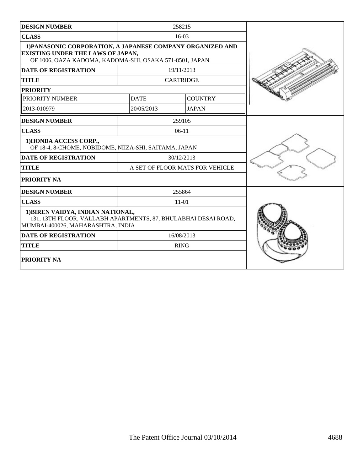| <b>DESIGN NUMBER</b>                                                                                                                                              |                                 | 258215           |  |
|-------------------------------------------------------------------------------------------------------------------------------------------------------------------|---------------------------------|------------------|--|
| <b>CLASS</b>                                                                                                                                                      |                                 | 16-03            |  |
| 1) PANASONIC CORPORATION, A JAPANESE COMPANY ORGANIZED AND<br><b>EXISTING UNDER THE LAWS OF JAPAN,</b><br>OF 1006, OAZA KADOMA, KADOMA-SHI, OSAKA 571-8501, JAPAN |                                 |                  |  |
| <b>DATE OF REGISTRATION</b>                                                                                                                                       |                                 | 19/11/2013       |  |
| <b>TITLE</b>                                                                                                                                                      |                                 | <b>CARTRIDGE</b> |  |
| <b>PRIORITY</b>                                                                                                                                                   |                                 |                  |  |
| PRIORITY NUMBER                                                                                                                                                   | <b>DATE</b>                     | <b>COUNTRY</b>   |  |
| 2013-010979                                                                                                                                                       | 20/05/2013                      | <b>JAPAN</b>     |  |
| <b>DESIGN NUMBER</b>                                                                                                                                              |                                 | 259105           |  |
| <b>CLASS</b>                                                                                                                                                      |                                 | $06-11$          |  |
| 1) HONDA ACCESS CORP.,<br>OF 18-4, 8-CHOME, NOBIDOME, NIIZA-SHI, SAITAMA, JAPAN                                                                                   |                                 |                  |  |
| <b>DATE OF REGISTRATION</b>                                                                                                                                       |                                 | 30/12/2013       |  |
| <b>TITLE</b>                                                                                                                                                      | A SET OF FLOOR MATS FOR VEHICLE |                  |  |
| PRIORITY NA                                                                                                                                                       |                                 |                  |  |
| <b>DESIGN NUMBER</b>                                                                                                                                              |                                 | 255864           |  |
| <b>CLASS</b>                                                                                                                                                      |                                 | $11 - 01$        |  |
| 1) BIREN VAIDYA, INDIAN NATIONAL,<br>131, 13TH FLOOR, VALLABH APARTMENTS, 87, BHULABHAI DESAI ROAD,<br>MUMBAI-400026, MAHARASHTRA, INDIA                          |                                 |                  |  |
| <b>DATE OF REGISTRATION</b>                                                                                                                                       |                                 | 16/08/2013       |  |
| <b>TITLE</b>                                                                                                                                                      |                                 | <b>RING</b>      |  |
| <b>PRIORITY NA</b>                                                                                                                                                |                                 |                  |  |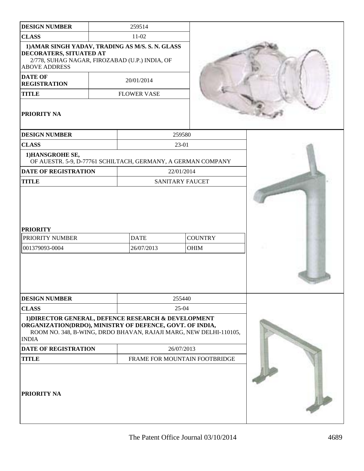| <b>DESIGN NUMBER</b>                                                                                                                                                                                 |  | 259514                        |                        |                               |  |
|------------------------------------------------------------------------------------------------------------------------------------------------------------------------------------------------------|--|-------------------------------|------------------------|-------------------------------|--|
| <b>CLASS</b>                                                                                                                                                                                         |  | $11-02$                       |                        |                               |  |
| 1) AMAR SINGH YADAV, TRADING AS M/S. S. N. GLASS<br>DECORATERS, SITUATED AT<br>2/778, SUHAG NAGAR, FIROZABAD (U.P.) INDIA, OF<br><b>ABOVE ADDRESS</b>                                                |  |                               |                        |                               |  |
| <b>DATE OF</b><br><b>REGISTRATION</b>                                                                                                                                                                |  | 20/01/2014                    |                        |                               |  |
| <b>TITLE</b>                                                                                                                                                                                         |  | <b>FLOWER VASE</b>            |                        |                               |  |
| PRIORITY NA                                                                                                                                                                                          |  |                               |                        |                               |  |
| <b>DESIGN NUMBER</b>                                                                                                                                                                                 |  |                               | 259580                 |                               |  |
| <b>CLASS</b>                                                                                                                                                                                         |  |                               | 23-01                  |                               |  |
| 1)HANSGROHE SE,<br>OF AUESTR. 5-9, D-77761 SCHILTACH, GERMANY, A GERMAN COMPANY                                                                                                                      |  |                               |                        |                               |  |
| <b>DATE OF REGISTRATION</b>                                                                                                                                                                          |  |                               | 22/01/2014             |                               |  |
| <b>TITLE</b>                                                                                                                                                                                         |  |                               | <b>SANITARY FAUCET</b> |                               |  |
| <b>PRIORITY</b><br>PRIORITY NUMBER<br>001379093-0004                                                                                                                                                 |  | <b>DATE</b><br>26/07/2013     |                        | <b>COUNTRY</b><br><b>OHIM</b> |  |
| <b>DESIGN NUMBER</b>                                                                                                                                                                                 |  |                               | 255440                 |                               |  |
| <b>CLASS</b>                                                                                                                                                                                         |  |                               | $25 - 04$              |                               |  |
| 1) DIRECTOR GENERAL, DEFENCE RESEARCH & DEVELOPMENT<br>ORGANIZATION(DRDO), MINISTRY OF DEFENCE, GOVT. OF INDIA,<br>ROOM NO. 348, B-WING, DRDO BHAVAN, RAJAJI MARG, NEW DELHI-110105,<br><b>INDIA</b> |  |                               |                        |                               |  |
| <b>DATE OF REGISTRATION</b>                                                                                                                                                                          |  | 26/07/2013                    |                        |                               |  |
| <b>TITLE</b>                                                                                                                                                                                         |  | FRAME FOR MOUNTAIN FOOTBRIDGE |                        |                               |  |
| PRIORITY NA                                                                                                                                                                                          |  |                               |                        |                               |  |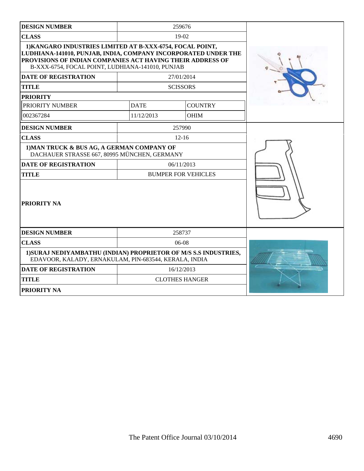| <b>DESIGN NUMBER</b>                                                                                                                                                                                                                          |                            | 259676                |  |
|-----------------------------------------------------------------------------------------------------------------------------------------------------------------------------------------------------------------------------------------------|----------------------------|-----------------------|--|
| <b>CLASS</b>                                                                                                                                                                                                                                  |                            | 19-02                 |  |
| 1) KANGARO INDUSTRIES LIMITED AT B-XXX-6754, FOCAL POINT,<br>LUDHIANA-141010, PUNJAB, INDIA, COMPANY INCORPORATED UNDER THE<br>PROVISIONS OF INDIAN COMPANIES ACT HAVING THEIR ADDRESS OF<br>B-XXX-6754, FOCAL POINT, LUDHIANA-141010, PUNJAB |                            |                       |  |
| <b>DATE OF REGISTRATION</b>                                                                                                                                                                                                                   |                            | 27/01/2014            |  |
| <b>TITLE</b>                                                                                                                                                                                                                                  |                            | <b>SCISSORS</b>       |  |
| <b>PRIORITY</b>                                                                                                                                                                                                                               |                            |                       |  |
| PRIORITY NUMBER                                                                                                                                                                                                                               | <b>DATE</b>                | <b>COUNTRY</b>        |  |
| 002367284                                                                                                                                                                                                                                     | 11/12/2013                 | <b>OHIM</b>           |  |
| <b>DESIGN NUMBER</b>                                                                                                                                                                                                                          |                            | 257990                |  |
| <b>CLASS</b>                                                                                                                                                                                                                                  |                            | $12 - 16$             |  |
| 1) MAN TRUCK & BUS AG, A GERMAN COMPANY OF<br>DACHAUER STRASSE 667, 80995 MÜNCHEN, GERMANY                                                                                                                                                    |                            |                       |  |
| <b>DATE OF REGISTRATION</b>                                                                                                                                                                                                                   |                            | 06/11/2013            |  |
| <b>TITLE</b>                                                                                                                                                                                                                                  | <b>BUMPER FOR VEHICLES</b> |                       |  |
| PRIORITY NA                                                                                                                                                                                                                                   |                            |                       |  |
| <b>DESIGN NUMBER</b>                                                                                                                                                                                                                          |                            | 258737                |  |
| <b>CLASS</b>                                                                                                                                                                                                                                  | $06-08$                    |                       |  |
| 1) SURAJ NEDIYAMBATHU (INDIAN) PROPRIETOR OF M/S S.S INDUSTRIES,<br>EDAVOOR, KALADY, ERNAKULAM, PIN-683544, KERALA, INDIA                                                                                                                     |                            |                       |  |
| <b>DATE OF REGISTRATION</b>                                                                                                                                                                                                                   |                            | 16/12/2013            |  |
| <b>TITLE</b>                                                                                                                                                                                                                                  |                            | <b>CLOTHES HANGER</b> |  |
| <b>PRIORITY NA</b>                                                                                                                                                                                                                            |                            |                       |  |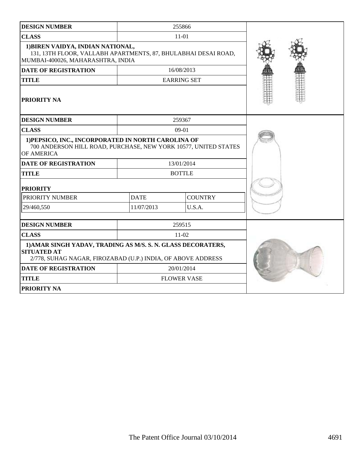| <b>DESIGN NUMBER</b>                                                                                                                               |             | 255866             |  |
|----------------------------------------------------------------------------------------------------------------------------------------------------|-------------|--------------------|--|
| <b>CLASS</b>                                                                                                                                       |             | $11 - 01$          |  |
| 1) BIREN VAIDYA, INDIAN NATIONAL,<br>131, 13TH FLOOR, VALLABH APARTMENTS, 87, BHULABHAI DESAI ROAD,<br>MUMBAI-400026, MAHARASHTRA, INDIA           |             |                    |  |
| <b>DATE OF REGISTRATION</b>                                                                                                                        |             | 16/08/2013         |  |
| <b>TITLE</b>                                                                                                                                       |             | <b>EARRING SET</b> |  |
| <b>PRIORITY NA</b>                                                                                                                                 |             |                    |  |
| <b>DESIGN NUMBER</b>                                                                                                                               |             | 259367             |  |
| <b>CLASS</b>                                                                                                                                       |             | 09-01              |  |
| 1) PEPSICO, INC., INCORPORATED IN NORTH CAROLINA OF<br>700 ANDERSON HILL ROAD, PURCHASE, NEW YORK 10577, UNITED STATES<br>OF AMERICA               |             |                    |  |
| <b>DATE OF REGISTRATION</b>                                                                                                                        |             | 13/01/2014         |  |
| <b>TITLE</b>                                                                                                                                       |             | <b>BOTTLE</b>      |  |
| <b>PRIORITY</b>                                                                                                                                    |             |                    |  |
| PRIORITY NUMBER                                                                                                                                    | <b>DATE</b> | <b>COUNTRY</b>     |  |
| 29/460,550                                                                                                                                         | 11/07/2013  | U.S.A.             |  |
| <b>DESIGN NUMBER</b>                                                                                                                               |             | 259515             |  |
| <b>CLASS</b>                                                                                                                                       |             | $11-02$            |  |
| 1) AMAR SINGH YADAV, TRADING AS M/S. S. N. GLASS DECORATERS,<br><b>SITUATED AT</b><br>2/778, SUHAG NAGAR, FIROZABAD (U.P.) INDIA, OF ABOVE ADDRESS |             |                    |  |
| <b>DATE OF REGISTRATION</b>                                                                                                                        |             | 20/01/2014         |  |
| <b>TITLE</b>                                                                                                                                       |             | <b>FLOWER VASE</b> |  |
| PRIORITY NA                                                                                                                                        |             |                    |  |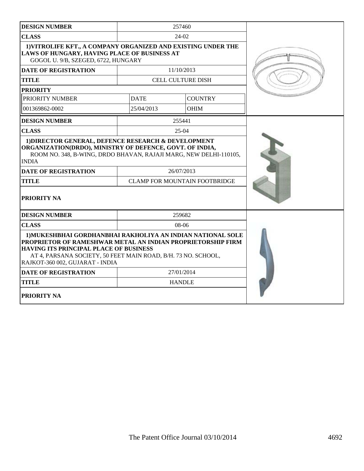| <b>DESIGN NUMBER</b>                                                                                                                                                                                                                                                                                                                                                                |             | 257460                                             |  |
|-------------------------------------------------------------------------------------------------------------------------------------------------------------------------------------------------------------------------------------------------------------------------------------------------------------------------------------------------------------------------------------|-------------|----------------------------------------------------|--|
| <b>CLASS</b>                                                                                                                                                                                                                                                                                                                                                                        |             | $24-02$                                            |  |
| 1) VITROLIFE KFT., A COMPANY ORGANIZED AND EXISTING UNDER THE<br>LAWS OF HUNGARY, HAVING PLACE OF BUSINESS AT<br>GOGOL U. 9/B, SZEGED, 6722, HUNGARY                                                                                                                                                                                                                                |             |                                                    |  |
| <b>DATE OF REGISTRATION</b>                                                                                                                                                                                                                                                                                                                                                         |             | 11/10/2013                                         |  |
| <b>TITLE</b>                                                                                                                                                                                                                                                                                                                                                                        |             | <b>CELL CULTURE DISH</b>                           |  |
| <b>PRIORITY</b>                                                                                                                                                                                                                                                                                                                                                                     |             |                                                    |  |
| PRIORITY NUMBER                                                                                                                                                                                                                                                                                                                                                                     | <b>DATE</b> | <b>COUNTRY</b>                                     |  |
| 001369862-0002                                                                                                                                                                                                                                                                                                                                                                      | 25/04/2013  | <b>OHIM</b>                                        |  |
| <b>DESIGN NUMBER</b>                                                                                                                                                                                                                                                                                                                                                                |             | 255441                                             |  |
| <b>CLASS</b>                                                                                                                                                                                                                                                                                                                                                                        |             | $25 - 04$                                          |  |
| ROOM NO. 348, B-WING, DRDO BHAVAN, RAJAJI MARG, NEW DELHI-110105,<br><b>INDIA</b><br><b>DATE OF REGISTRATION</b><br><b>TITLE</b><br>PRIORITY NA                                                                                                                                                                                                                                     |             | 26/07/2013<br><b>CLAMP FOR MOUNTAIN FOOTBRIDGE</b> |  |
| <b>DESIGN NUMBER</b>                                                                                                                                                                                                                                                                                                                                                                |             | 259682                                             |  |
| <b>CLASS</b>                                                                                                                                                                                                                                                                                                                                                                        |             | 08-06                                              |  |
| 1) MUKESHBHAI GORDHANBHAI RAKHOLIYA AN INDIAN NATIONAL SOLE<br>PROPRIETOR OF RAMESHWAR METAL AN INDIAN PROPRIETORSHIP FIRM<br><b>HAVING ITS PRINCIPAL PLACE OF BUSINESS</b><br>AT 4, PARSANA SOCIETY, 50 FEET MAIN ROAD, B/H. 73 NO. SCHOOL,<br>RAJKOT-360 002, GUJARAT - INDIA<br><b>DATE OF REGISTRATION</b><br>27/01/2014<br><b>HANDLE</b><br><b>TITLE</b><br><b>PRIORITY NA</b> |             |                                                    |  |
|                                                                                                                                                                                                                                                                                                                                                                                     |             |                                                    |  |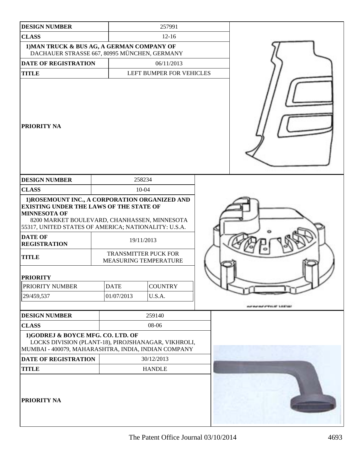| <b>DESIGN NUMBER</b>                                                                                                                                                                      | 257991                                                                                                                                                                                                                                                                                |                          |
|-------------------------------------------------------------------------------------------------------------------------------------------------------------------------------------------|---------------------------------------------------------------------------------------------------------------------------------------------------------------------------------------------------------------------------------------------------------------------------------------|--------------------------|
| <b>CLASS</b>                                                                                                                                                                              | $12 - 16$                                                                                                                                                                                                                                                                             |                          |
|                                                                                                                                                                                           | 1) MAN TRUCK & BUS AG, A GERMAN COMPANY OF<br>DACHAUER STRASSE 667, 80995 MÜNCHEN, GERMANY                                                                                                                                                                                            |                          |
| DATE OF REGISTRATION                                                                                                                                                                      | 06/11/2013                                                                                                                                                                                                                                                                            |                          |
| <b>TITLE</b>                                                                                                                                                                              | LEFT BUMPER FOR VEHICLES                                                                                                                                                                                                                                                              |                          |
| <b>PRIORITY NA</b>                                                                                                                                                                        |                                                                                                                                                                                                                                                                                       |                          |
| <b>DESIGN NUMBER</b>                                                                                                                                                                      | 258234                                                                                                                                                                                                                                                                                |                          |
| <b>CLASS</b>                                                                                                                                                                              | $10 - 04$                                                                                                                                                                                                                                                                             |                          |
| <b>EXISTING UNDER THE LAWS OF THE STATE OF</b><br><b>MINNESOTA OF</b><br><b>DATE OF</b><br><b>REGISTRATION</b><br><b>TITLE</b><br><b>PRIORITY</b><br><b>PRIORITY NUMBER</b><br>29/459,537 | 1) ROSEMOUNT INC., A CORPORATION ORGANIZED AND<br>8200 MARKET BOULEVARD, CHANHASSEN, MINNESOTA<br>55317, UNITED STATES OF AMERICA; NATIONALITY: U.S.A.<br>19/11/2013<br><b>TRANSMITTER PUCK FOR</b><br>MEASURING TEMPERATURE<br><b>DATE</b><br><b>COUNTRY</b><br>01/07/2013<br>U.S.A. | <b>SERENFERNE UNIVER</b> |
| <b>DESIGN NUMBER</b>                                                                                                                                                                      | 259140                                                                                                                                                                                                                                                                                |                          |
| <b>CLASS</b><br>1)GODREJ & BOYCE MFG. CO. LTD. OF                                                                                                                                         | 08-06<br>LOCKS DIVISION (PLANT-18), PIROJSHANAGAR, VIKHROLI,<br>MUMBAI - 400079, MAHARASHTRA, INDIA, INDIAN COMPANY                                                                                                                                                                   |                          |
| DATE OF REGISTRATION                                                                                                                                                                      | 30/12/2013                                                                                                                                                                                                                                                                            |                          |
| <b>TITLE</b><br>PRIORITY NA                                                                                                                                                               | <b>HANDLE</b>                                                                                                                                                                                                                                                                         |                          |

ı

┚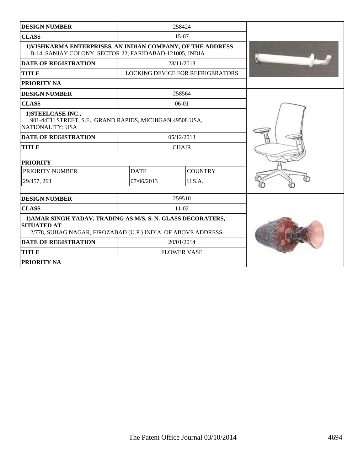| <b>DESIGN NUMBER</b>                                                                                                                               |             | 258424                                  |  |
|----------------------------------------------------------------------------------------------------------------------------------------------------|-------------|-----------------------------------------|--|
| <b>CLASS</b>                                                                                                                                       |             | $15-07$                                 |  |
| 1) VISHKARMA ENTERPRISES, AN INDIAN COMPANY, OF THE ADDRESS<br>B-14, SANJAY COLONY, SECTOR 22, FARIDABAD-121005, INDIA                             |             |                                         |  |
| <b>DATE OF REGISTRATION</b>                                                                                                                        |             | 28/11/2013                              |  |
| <b>TITLE</b>                                                                                                                                       |             | <b>LOCKING DEVICE FOR REFRIGERATORS</b> |  |
| PRIORITY NA                                                                                                                                        |             |                                         |  |
| <b>DESIGN NUMBER</b>                                                                                                                               |             | 258564                                  |  |
| <b>CLASS</b>                                                                                                                                       |             | 06-01                                   |  |
| 1) STEELCASE INC.,<br>901-44TH STREET, S.E., GRAND RAPIDS, MICHIGAN 49508 USA,<br><b>NATIONALITY: USA</b>                                          |             |                                         |  |
| <b>DATE OF REGISTRATION</b>                                                                                                                        |             | 05/12/2013                              |  |
| <b>TITLE</b>                                                                                                                                       |             | <b>CHAIR</b>                            |  |
| <b>PRIORITY</b>                                                                                                                                    |             |                                         |  |
| PRIORITY NUMBER                                                                                                                                    | <b>DATE</b> | <b>COUNTRY</b>                          |  |
| 29/457, 263                                                                                                                                        | 07/06/2013  | U.S.A.                                  |  |
| <b>DESIGN NUMBER</b>                                                                                                                               |             | 259510                                  |  |
| <b>CLASS</b>                                                                                                                                       |             | $11-02$                                 |  |
|                                                                                                                                                    |             |                                         |  |
| 1) AMAR SINGH YADAV, TRADING AS M/S. S. N. GLASS DECORATERS,<br><b>SITUATED AT</b><br>2/778, SUHAG NAGAR, FIROZABAD (U.P.) INDIA, OF ABOVE ADDRESS |             |                                         |  |
| <b>DATE OF REGISTRATION</b>                                                                                                                        |             | 20/01/2014                              |  |
| <b>TITLE</b>                                                                                                                                       |             | <b>FLOWER VASE</b>                      |  |
| <b>PRIORITY NA</b>                                                                                                                                 |             |                                         |  |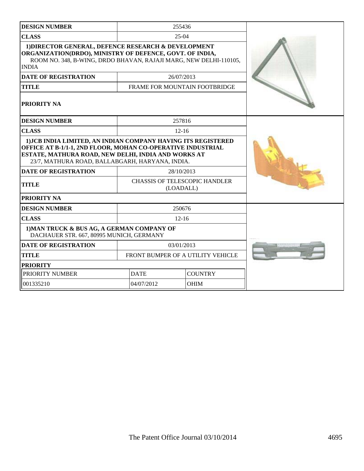| <b>DESIGN NUMBER</b>                                                                                                                                                                                                                   |  | 255436                                            |  |  |
|----------------------------------------------------------------------------------------------------------------------------------------------------------------------------------------------------------------------------------------|--|---------------------------------------------------|--|--|
| <b>CLASS</b>                                                                                                                                                                                                                           |  | $25-04$                                           |  |  |
| 1) DIRECTOR GENERAL, DEFENCE RESEARCH & DEVELOPMENT<br>ORGANIZATION(DRDO), MINISTRY OF DEFENCE, GOVT. OF INDIA,<br>ROOM NO. 348, B-WING, DRDO BHAVAN, RAJAJI MARG, NEW DELHI-110105,<br><b>INDIA</b>                                   |  |                                                   |  |  |
| <b>DATE OF REGISTRATION</b>                                                                                                                                                                                                            |  | 26/07/2013                                        |  |  |
| <b>TITLE</b>                                                                                                                                                                                                                           |  | FRAME FOR MOUNTAIN FOOTBRIDGE                     |  |  |
| PRIORITY NA                                                                                                                                                                                                                            |  |                                                   |  |  |
| <b>DESIGN NUMBER</b>                                                                                                                                                                                                                   |  | 257816                                            |  |  |
| <b>CLASS</b>                                                                                                                                                                                                                           |  | $12 - 16$                                         |  |  |
| 1) JCB INDIA LIMITED, AN INDIAN COMPANY HAVING ITS REGISTERED<br>OFFICE AT B-1/1-1, 2ND FLOOR, MOHAN CO-OPERATIVE INDUSTRIAL<br>ESTATE, MATHURA ROAD, NEW DELHI, INDIA AND WORKS AT<br>23/7, MATHURA ROAD, BALLABGARH, HARYANA, INDIA. |  |                                                   |  |  |
| <b>DATE OF REGISTRATION</b>                                                                                                                                                                                                            |  | 28/10/2013                                        |  |  |
| <b>TITLE</b>                                                                                                                                                                                                                           |  | <b>CHASSIS OF TELESCOPIC HANDLER</b><br>(LOADALL) |  |  |
| PRIORITY NA                                                                                                                                                                                                                            |  |                                                   |  |  |
| <b>DESIGN NUMBER</b>                                                                                                                                                                                                                   |  | 250676                                            |  |  |
| <b>CLASS</b>                                                                                                                                                                                                                           |  | $12 - 16$                                         |  |  |
| 1) MAN TRUCK & BUS AG, A GERMAN COMPANY OF<br>DACHAUER STR. 667, 80995 MUNICH, GERMANY                                                                                                                                                 |  |                                                   |  |  |
| <b>DATE OF REGISTRATION</b>                                                                                                                                                                                                            |  | 03/01/2013                                        |  |  |
| <b>TITLE</b>                                                                                                                                                                                                                           |  | FRONT BUMPER OF A UTILITY VEHICLE                 |  |  |
| <b>PRIORITY</b>                                                                                                                                                                                                                        |  |                                                   |  |  |
| PRIORITY NUMBER                                                                                                                                                                                                                        |  | <b>DATE</b><br><b>COUNTRY</b>                     |  |  |
| 001335210                                                                                                                                                                                                                              |  | 04/07/2012<br><b>OHIM</b>                         |  |  |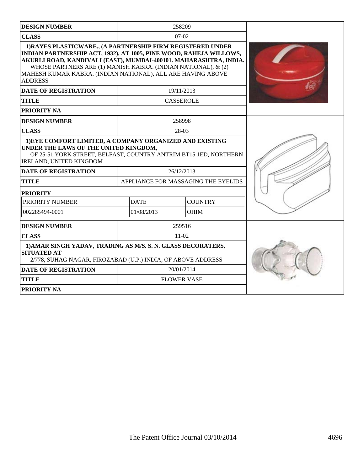| <b>DESIGN NUMBER</b>                                                                                                                                                                                                                                                                                                                                     |                                     | 258209             |  |
|----------------------------------------------------------------------------------------------------------------------------------------------------------------------------------------------------------------------------------------------------------------------------------------------------------------------------------------------------------|-------------------------------------|--------------------|--|
| <b>CLASS</b>                                                                                                                                                                                                                                                                                                                                             |                                     | $07-02$            |  |
| 1) RAYES PLASTICWARE., (A PARTNERSHIP FIRM REGISTERED UNDER<br>INDIAN PARTNERSHIP ACT, 1932), AT 1005, PINE WOOD, RAHEJA WILLOWS,<br>AKURLI ROAD, KANDIVALI (EAST), MUMBAI-400101. MAHARASHTRA, INDIA.<br>WHOSE PARTNERS ARE (1) MANISH KABRA. (INDIAN NATIONAL), & (2)<br>MAHESH KUMAR KABRA. (INDIAN NATIONAL), ALL ARE HAVING ABOVE<br><b>ADDRESS</b> |                                     |                    |  |
| <b>DATE OF REGISTRATION</b>                                                                                                                                                                                                                                                                                                                              |                                     | 19/11/2013         |  |
| <b>TITLE</b>                                                                                                                                                                                                                                                                                                                                             |                                     | <b>CASSEROLE</b>   |  |
| <b>PRIORITY NA</b>                                                                                                                                                                                                                                                                                                                                       |                                     |                    |  |
| <b>DESIGN NUMBER</b>                                                                                                                                                                                                                                                                                                                                     |                                     | 258998             |  |
| <b>CLASS</b>                                                                                                                                                                                                                                                                                                                                             |                                     | 28-03              |  |
| 1) EYE COMFORT LIMITED, A COMPANY ORGANIZED AND EXISTING<br>UNDER THE LAWS OF THE UNITED KINGDOM,<br>OF 25-51 YORK STREET, BELFAST, COUNTRY ANTRIM BT15 1ED, NORTHERN<br><b>IRELAND, UNITED KINGDOM</b>                                                                                                                                                  |                                     |                    |  |
| <b>DATE OF REGISTRATION</b>                                                                                                                                                                                                                                                                                                                              | 26/12/2013                          |                    |  |
| <b>TITLE</b>                                                                                                                                                                                                                                                                                                                                             | APPLIANCE FOR MASSAGING THE EYELIDS |                    |  |
| <b>PRIORITY</b>                                                                                                                                                                                                                                                                                                                                          |                                     |                    |  |
| PRIORITY NUMBER                                                                                                                                                                                                                                                                                                                                          | <b>DATE</b>                         | <b>COUNTRY</b>     |  |
| 002285494-0001                                                                                                                                                                                                                                                                                                                                           | 01/08/2013                          | <b>OHIM</b>        |  |
| <b>DESIGN NUMBER</b>                                                                                                                                                                                                                                                                                                                                     |                                     | 259516             |  |
| <b>CLASS</b>                                                                                                                                                                                                                                                                                                                                             |                                     | $11-02$            |  |
| 1) AMAR SINGH YADAV, TRADING AS M/S. S. N. GLASS DECORATERS,<br><b>SITUATED AT</b><br>2/778, SUHAG NAGAR, FIROZABAD (U.P.) INDIA, OF ABOVE ADDRESS                                                                                                                                                                                                       |                                     |                    |  |
| <b>DATE OF REGISTRATION</b>                                                                                                                                                                                                                                                                                                                              |                                     | 20/01/2014         |  |
| <b>TITLE</b>                                                                                                                                                                                                                                                                                                                                             |                                     | <b>FLOWER VASE</b> |  |
| PRIORITY NA                                                                                                                                                                                                                                                                                                                                              |                                     |                    |  |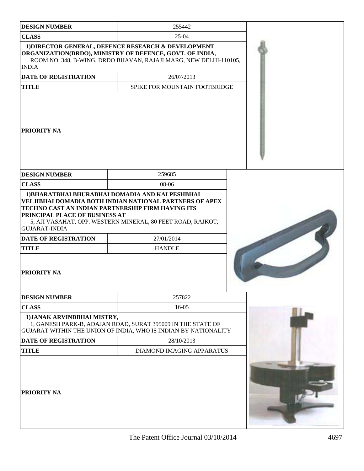| <b>DESIGN NUMBER</b>                                                                                                        | 255442                                                                                                                                                                               |  |
|-----------------------------------------------------------------------------------------------------------------------------|--------------------------------------------------------------------------------------------------------------------------------------------------------------------------------------|--|
| <b>CLASS</b>                                                                                                                | $25-04$                                                                                                                                                                              |  |
| <b>INDIA</b>                                                                                                                | 1) DIRECTOR GENERAL, DEFENCE RESEARCH & DEVELOPMENT<br>ORGANIZATION(DRDO), MINISTRY OF DEFENCE, GOVT. OF INDIA,<br>ROOM NO. 348, B-WING, DRDO BHAVAN, RAJAJI MARG, NEW DELHI-110105, |  |
| <b>DATE OF REGISTRATION</b>                                                                                                 | 26/07/2013                                                                                                                                                                           |  |
| <b>TITLE</b>                                                                                                                | SPIKE FOR MOUNTAIN FOOTBRIDGE                                                                                                                                                        |  |
| <b>PRIORITY NA</b>                                                                                                          |                                                                                                                                                                                      |  |
| <b>DESIGN NUMBER</b>                                                                                                        | 259685                                                                                                                                                                               |  |
| <b>CLASS</b>                                                                                                                | 08-06                                                                                                                                                                                |  |
| PRINCIPAL PLACE OF BUSINESS AT<br><b>GUJARAT-INDIA</b><br><b>DATE OF REGISTRATION</b><br><b>TITLE</b><br><b>PRIORITY NA</b> | TECHNO CAST AN INDIAN PARTNERSHIP FIRM HAVING ITS<br>5, AJI VASAHAT, OPP. WESTERN MINERAL, 80 FEET ROAD, RAJKOT,<br>27/01/2014<br><b>HANDLE</b>                                      |  |
| <b>DESIGN NUMBER</b>                                                                                                        | 257822                                                                                                                                                                               |  |
| <b>CLASS</b>                                                                                                                | 16-05                                                                                                                                                                                |  |
| 1) JANAK ARVINDBHAI MISTRY,                                                                                                 | 1, GANESH PARK-B, ADAJAN ROAD, SURAT 395009 IN THE STATE OF<br>GUJARAT WITHIN THE UNION OF INDIA, WHO IS INDIAN BY NATIONALITY                                                       |  |
| <b>DATE OF REGISTRATION</b>                                                                                                 | 28/10/2013                                                                                                                                                                           |  |
| <b>TITLE</b>                                                                                                                | DIAMOND IMAGING APPARATUS                                                                                                                                                            |  |
| <b>PRIORITY NA</b>                                                                                                          |                                                                                                                                                                                      |  |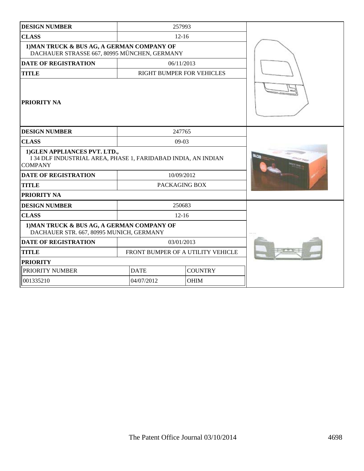| <b>DESIGN NUMBER</b>                                                                                             | 257993                            |  |  |
|------------------------------------------------------------------------------------------------------------------|-----------------------------------|--|--|
| <b>CLASS</b>                                                                                                     | $12 - 16$                         |  |  |
| 1) MAN TRUCK & BUS AG, A GERMAN COMPANY OF<br>DACHAUER STRASSE 667, 80995 MÜNCHEN, GERMANY                       |                                   |  |  |
| <b>DATE OF REGISTRATION</b>                                                                                      | 06/11/2013                        |  |  |
| <b>TITLE</b>                                                                                                     | <b>RIGHT BUMPER FOR VEHICLES</b>  |  |  |
| PRIORITY NA                                                                                                      |                                   |  |  |
| <b>DESIGN NUMBER</b>                                                                                             | 247765                            |  |  |
| <b>CLASS</b>                                                                                                     | $09-03$                           |  |  |
| 1) GLEN APPLIANCES PVT. LTD.,<br>I 34 DLF INDUSTRIAL AREA, PHASE 1, FARIDABAD INDIA, AN INDIAN<br><b>COMPANY</b> |                                   |  |  |
| <b>DATE OF REGISTRATION</b>                                                                                      | 10/09/2012                        |  |  |
| <b>TITLE</b>                                                                                                     | PACKAGING BOX                     |  |  |
| PRIORITY NA                                                                                                      |                                   |  |  |
| <b>DESIGN NUMBER</b>                                                                                             | 250683                            |  |  |
| <b>CLASS</b>                                                                                                     | $12 - 16$                         |  |  |
| 1) MAN TRUCK & BUS AG, A GERMAN COMPANY OF<br>DACHAUER STR. 667, 80995 MUNICH, GERMANY                           |                                   |  |  |
| <b>DATE OF REGISTRATION</b>                                                                                      | 03/01/2013                        |  |  |
| <b>TITLE</b>                                                                                                     | FRONT BUMPER OF A UTILITY VEHICLE |  |  |
| <b>PRIORITY</b>                                                                                                  |                                   |  |  |
| PRIORITY NUMBER                                                                                                  | <b>COUNTRY</b><br><b>DATE</b>     |  |  |
| 001335210                                                                                                        | 04/07/2012<br><b>OHIM</b>         |  |  |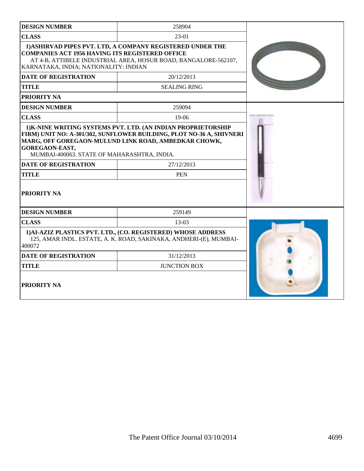| <b>DESIGN NUMBER</b>                                                                            | 258904                                                                                                                              |  |
|-------------------------------------------------------------------------------------------------|-------------------------------------------------------------------------------------------------------------------------------------|--|
| <b>CLASS</b>                                                                                    | 23-01                                                                                                                               |  |
| <b>COMPANIES ACT 1956 HAVING ITS REGISTERED OFFICE</b><br>KARNATAKA, INDIA; NATIONALITY: INDIAN | 1) ASHIRVAD PIPES PVT. LTD, A COMPANY REGISTERED UNDER THE<br>AT 4-B, ATTIBELE INDUSTRIAL AREA, HOSUR ROAD, BANGALORE-562107,       |  |
| <b>DATE OF REGISTRATION</b>                                                                     | 20/12/2013                                                                                                                          |  |
| <b>TITLE</b>                                                                                    | <b>SEALING RING</b>                                                                                                                 |  |
| PRIORITY NA                                                                                     |                                                                                                                                     |  |
| <b>DESIGN NUMBER</b>                                                                            | 259094                                                                                                                              |  |
| <b>CLASS</b>                                                                                    | $19-06$                                                                                                                             |  |
| GOREGAON-EAST,<br>MUMBAI-400063. STATE OF MAHARASHTRA, INDIA.                                   | FIRM) UNIT NO: A-301/302, SUNFLOWER BUILDING, PLOT NO-36 A, SHIVNERI<br>MARG, OFF GOREGAON-MULUND LINK ROAD, AMBEDKAR CHOWK,        |  |
| <b>DATE OF REGISTRATION</b>                                                                     | 27/12/2013                                                                                                                          |  |
| <b>TITLE</b>                                                                                    | <b>PEN</b>                                                                                                                          |  |
| <b>PRIORITY NA</b>                                                                              |                                                                                                                                     |  |
| <b>DESIGN NUMBER</b>                                                                            | 259149                                                                                                                              |  |
| <b>CLASS</b>                                                                                    | $13-03$                                                                                                                             |  |
| 400072                                                                                          | 1) AI-AZIZ PLASTICS PVT. LTD., (CO. REGISTERED) WHOSE ADDRESS<br>125, AMAR INDL. ESTATE, A. K. ROAD, SAKINAKA, ANDHERI-(E), MUMBAI- |  |
| <b>DATE OF REGISTRATION</b>                                                                     | 31/12/2013                                                                                                                          |  |
| <b>TITLE</b>                                                                                    | <b>JUNCTION BOX</b>                                                                                                                 |  |
| PRIORITY NA                                                                                     |                                                                                                                                     |  |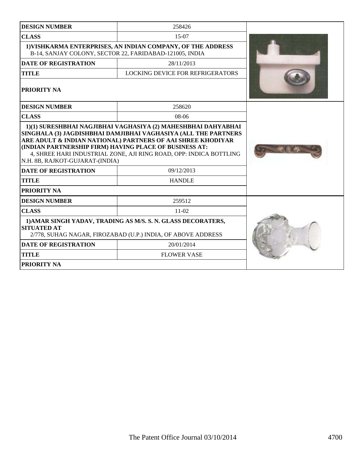| <b>DESIGN NUMBER</b>                                                                                                                                                                                                           | 258426                           |  |
|--------------------------------------------------------------------------------------------------------------------------------------------------------------------------------------------------------------------------------|----------------------------------|--|
| <b>CLASS</b>                                                                                                                                                                                                                   | $15-07$                          |  |
| 1) VISHKARMA ENTERPRISES, AN INDIAN COMPANY, OF THE ADDRESS<br>B-14, SANJAY COLONY, SECTOR 22, FARIDABAD-121005, INDIA                                                                                                         |                                  |  |
| <b>DATE OF REGISTRATION</b>                                                                                                                                                                                                    | 28/11/2013                       |  |
| <b>TITLE</b>                                                                                                                                                                                                                   | LOCKING DEVICE FOR REFRIGERATORS |  |
| <b>PRIORITY NA</b>                                                                                                                                                                                                             |                                  |  |
| <b>DESIGN NUMBER</b>                                                                                                                                                                                                           | 258620                           |  |
| <b>CLASS</b>                                                                                                                                                                                                                   | $08-06$                          |  |
| ARE ADULT & INDIAN NATIONAL) PARTNERS OF AAI SHREE KHODIYAR<br>(INDIAN PARTNERSHIP FIRM) HAVING PLACE OF BUSINESS AT:<br>4, SHREE HARI INDUSTRIAL ZONE, AJI RING ROAD, OPP: INDICA BOTTLING<br>N.H. 8B, RAJKOT-GUJARAT-(INDIA) |                                  |  |
| <b>DATE OF REGISTRATION</b>                                                                                                                                                                                                    | 09/12/2013                       |  |
| <b>TITLE</b>                                                                                                                                                                                                                   | <b>HANDLE</b>                    |  |
| PRIORITY NA                                                                                                                                                                                                                    |                                  |  |
| <b>DESIGN NUMBER</b>                                                                                                                                                                                                           | 259512                           |  |
| <b>CLASS</b>                                                                                                                                                                                                                   | $11-02$                          |  |
| 1) AMAR SINGH YADAV, TRADING AS M/S. S. N. GLASS DECORATERS,<br><b>SITUATED AT</b><br>2/778, SUHAG NAGAR, FIROZABAD (U.P.) INDIA, OF ABOVE ADDRESS                                                                             |                                  |  |
| <b>DATE OF REGISTRATION</b>                                                                                                                                                                                                    | 20/01/2014                       |  |
| <b>TITLE</b>                                                                                                                                                                                                                   | <b>FLOWER VASE</b>               |  |
| PRIORITY NA                                                                                                                                                                                                                    |                                  |  |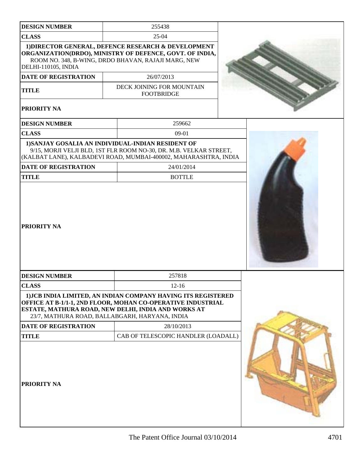| <b>DESIGN NUMBER</b>        | 255438                                                                                                                                                                                                                                |  |
|-----------------------------|---------------------------------------------------------------------------------------------------------------------------------------------------------------------------------------------------------------------------------------|--|
| <b>CLASS</b>                | $25-04$                                                                                                                                                                                                                               |  |
| <b>DELHI-110105, INDIA</b>  | 1) DIRECTOR GENERAL, DEFENCE RESEARCH & DEVELOPMENT<br>ORGANIZATION(DRDO), MINISTRY OF DEFENCE, GOVT. OF INDIA,<br>ROOM NO. 348, B-WING, DRDO BHAVAN, RAJAJI MARG, NEW                                                                |  |
| DATE OF REGISTRATION        | 26/07/2013                                                                                                                                                                                                                            |  |
| <b>TITLE</b>                | DECK JOINING FOR MOUNTAIN<br><b>FOOTBRIDGE</b>                                                                                                                                                                                        |  |
| PRIORITY NA                 |                                                                                                                                                                                                                                       |  |
| <b>DESIGN NUMBER</b>        | 259662                                                                                                                                                                                                                                |  |
| <b>CLASS</b>                | $09-01$                                                                                                                                                                                                                               |  |
|                             | 1) SANJAY GOSALIA AN INDIVIDUAL-INDIAN RESIDENT OF<br>9/15, MORJI VELJI BLD, 1ST FLR ROOM NO-30, DR. M.B. VELKAR STREET,<br>(KALBAT LANE), KALBADEVI ROAD, MUMBAI-400002, MAHARASHTRA, INDIA                                          |  |
| <b>DATE OF REGISTRATION</b> | 24/01/2014                                                                                                                                                                                                                            |  |
| <b>TITLE</b>                | <b>BOTTLE</b>                                                                                                                                                                                                                         |  |
| PRIORITY NA                 |                                                                                                                                                                                                                                       |  |
| <b>DESIGN NUMBER</b>        | 257818                                                                                                                                                                                                                                |  |
| <b>CLASS</b>                | $12 - 16$                                                                                                                                                                                                                             |  |
|                             | 1) JCB INDIA LIMITED, AN INDIAN COMPANY HAVING ITS REGISTERED<br>OFFICE AT B-1/1-1, 2ND FLOOR, MOHAN CO-OPERATIVE INDUSTRIAL<br>ESTATE, MATHURA ROAD, NEW DELHI, INDIA AND WORKS AT<br>23/7, MATHURA ROAD, BALLABGARH, HARYANA, INDIA |  |
| DATE OF REGISTRATION        | 28/10/2013                                                                                                                                                                                                                            |  |
| <b>TITLE</b>                | CAB OF TELESCOPIC HANDLER (LOADALL)                                                                                                                                                                                                   |  |
| PRIORITY NA                 |                                                                                                                                                                                                                                       |  |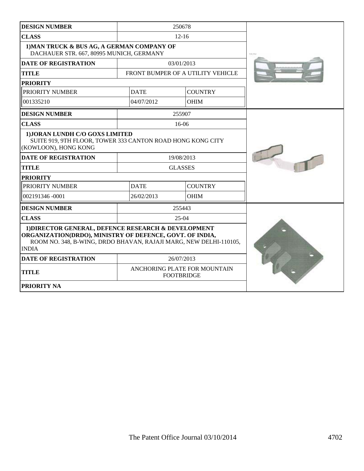| <b>DESIGN NUMBER</b>                                                                                                                                                                                 |                                                   | 250678                            |            |
|------------------------------------------------------------------------------------------------------------------------------------------------------------------------------------------------------|---------------------------------------------------|-----------------------------------|------------|
| <b>CLASS</b>                                                                                                                                                                                         | $12 - 16$                                         |                                   |            |
| 1) MAN TRUCK & BUS AG, A GERMAN COMPANY OF<br>DACHAUER STR. 667, 80995 MUNICH, GERMANY                                                                                                               |                                                   |                                   | Ford years |
| <b>DATE OF REGISTRATION</b>                                                                                                                                                                          |                                                   | 03/01/2013                        |            |
| <b>TITLE</b>                                                                                                                                                                                         |                                                   | FRONT BUMPER OF A UTILITY VEHICLE |            |
| <b>PRIORITY</b>                                                                                                                                                                                      |                                                   |                                   |            |
| PRIORITY NUMBER                                                                                                                                                                                      | <b>DATE</b>                                       | <b>COUNTRY</b>                    |            |
| 001335210                                                                                                                                                                                            | 04/07/2012                                        | <b>OHIM</b>                       |            |
| <b>DESIGN NUMBER</b>                                                                                                                                                                                 |                                                   | 255907                            |            |
| <b>CLASS</b>                                                                                                                                                                                         |                                                   | $16-06$                           |            |
| 1) JORAN LUNDH C/O GOXS LIMITED<br>SUITE 919, 9TH FLOOR, TOWER 333 CANTON ROAD HONG KONG CITY<br>(KOWLOON), HONG KONG                                                                                |                                                   |                                   |            |
| <b>DATE OF REGISTRATION</b>                                                                                                                                                                          | 19/08/2013                                        |                                   |            |
| <b>TITLE</b>                                                                                                                                                                                         | <b>GLASSES</b>                                    |                                   |            |
| <b>PRIORITY</b>                                                                                                                                                                                      |                                                   |                                   |            |
| PRIORITY NUMBER                                                                                                                                                                                      | <b>DATE</b>                                       | <b>COUNTRY</b>                    |            |
| 002191346 -0001                                                                                                                                                                                      | 26/02/2013                                        | <b>OHIM</b>                       |            |
| <b>DESIGN NUMBER</b>                                                                                                                                                                                 |                                                   | 255443                            |            |
| <b>CLASS</b>                                                                                                                                                                                         | $25-04$                                           |                                   |            |
| 1) DIRECTOR GENERAL, DEFENCE RESEARCH & DEVELOPMENT<br>ORGANIZATION(DRDO), MINISTRY OF DEFENCE, GOVT. OF INDIA,<br>ROOM NO. 348, B-WING, DRDO BHAVAN, RAJAJI MARG, NEW DELHI-110105,<br><b>INDIA</b> |                                                   |                                   |            |
| <b>DATE OF REGISTRATION</b>                                                                                                                                                                          | 26/07/2013                                        |                                   |            |
| <b>TITLE</b>                                                                                                                                                                                         | ANCHORING PLATE FOR MOUNTAIN<br><b>FOOTBRIDGE</b> |                                   |            |
| PRIORITY NA                                                                                                                                                                                          |                                                   |                                   |            |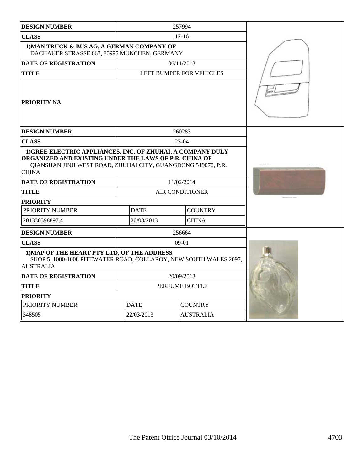| <b>DESIGN NUMBER</b>                                                                                                                                                                                                                  |                        | 257994                   |  |
|---------------------------------------------------------------------------------------------------------------------------------------------------------------------------------------------------------------------------------------|------------------------|--------------------------|--|
| <b>CLASS</b>                                                                                                                                                                                                                          | $12 - 16$              |                          |  |
| 1) MAN TRUCK & BUS AG, A GERMAN COMPANY OF<br>DACHAUER STRASSE 667, 80995 MÜNCHEN, GERMANY                                                                                                                                            |                        |                          |  |
| <b>DATE OF REGISTRATION</b>                                                                                                                                                                                                           | 06/11/2013             |                          |  |
| <b>TITLE</b>                                                                                                                                                                                                                          |                        | LEFT BUMPER FOR VEHICLES |  |
| <b>PRIORITY NA</b>                                                                                                                                                                                                                    |                        |                          |  |
| <b>DESIGN NUMBER</b>                                                                                                                                                                                                                  |                        | 260283                   |  |
| <b>CLASS</b>                                                                                                                                                                                                                          |                        | 23-04                    |  |
| 1) GREE ELECTRIC APPLIANCES, INC. OF ZHUHAI, A COMPANY DULY<br>ORGANIZED AND EXISTING UNDER THE LAWS OF P.R. CHINA OF<br>QIANSHAN JINJI WEST ROAD, ZHUHAI CITY, GUANGDONG 519070, P.R.<br><b>CHINA</b><br><b>DATE OF REGISTRATION</b> |                        | 11/02/2014               |  |
|                                                                                                                                                                                                                                       |                        |                          |  |
| <b>TITLE</b>                                                                                                                                                                                                                          | <b>AIR CONDITIONER</b> |                          |  |
| <b>PRIORITY</b><br>PRIORITY NUMBER                                                                                                                                                                                                    | <b>DATE</b>            | <b>COUNTRY</b>           |  |
| 201330398897.4                                                                                                                                                                                                                        | 20/08/2013             | <b>CHINA</b>             |  |
| <b>DESIGN NUMBER</b>                                                                                                                                                                                                                  |                        | 256664                   |  |
| <b>CLASS</b>                                                                                                                                                                                                                          | $09-01$                |                          |  |
| 1) MAP OF THE HEART PTY LTD, OF THE ADDRESS<br>SHOP 5, 1000-1008 PITTWATER ROAD, COLLAROY, NEW SOUTH WALES 2097,<br><b>AUSTRALIA</b>                                                                                                  |                        |                          |  |
| <b>DATE OF REGISTRATION</b>                                                                                                                                                                                                           | 20/09/2013             |                          |  |
| <b>TITLE</b>                                                                                                                                                                                                                          | PERFUME BOTTLE         |                          |  |
| <b>PRIORITY</b>                                                                                                                                                                                                                       |                        |                          |  |
| PRIORITY NUMBER                                                                                                                                                                                                                       | <b>DATE</b>            | <b>COUNTRY</b>           |  |
| 348505                                                                                                                                                                                                                                | 22/03/2013             | <b>AUSTRALIA</b>         |  |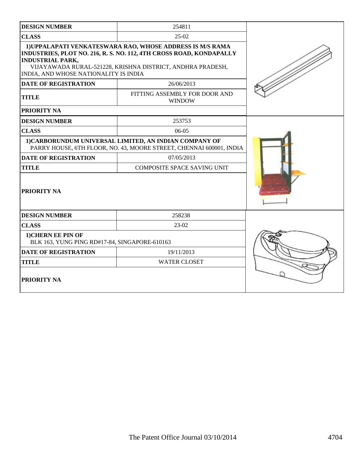| <b>DESIGN NUMBER</b>                                                                            | 254811                                                                                                                                                                                                       |  |
|-------------------------------------------------------------------------------------------------|--------------------------------------------------------------------------------------------------------------------------------------------------------------------------------------------------------------|--|
| <b>CLASS</b>                                                                                    | $25-02$                                                                                                                                                                                                      |  |
| <b>INDUSTRIAL PARK,</b><br>INDIA, AND WHOSE NATIONALITY IS INDIA<br><b>DATE OF REGISTRATION</b> | 1) UPPALAPATI VENKATESWARA RAO, WHOSE ADDRESS IS M/S RAMA<br>INDUSTRIES, PLOT NO. 216, R. S. NO. 112, 4TH CROSS ROAD, KONDAPALLY<br>VIJAYAWADA RURAL-521228, KRISHNA DISTRICT, ANDHRA PRADESH,<br>26/06/2013 |  |
| <b>TITLE</b>                                                                                    | FITTING ASSEMBLY FOR DOOR AND<br><b>WINDOW</b>                                                                                                                                                               |  |
| PRIORITY NA                                                                                     |                                                                                                                                                                                                              |  |
| <b>DESIGN NUMBER</b>                                                                            | 253753                                                                                                                                                                                                       |  |
| <b>CLASS</b>                                                                                    | 06-05                                                                                                                                                                                                        |  |
|                                                                                                 | 1) CARBORUNDUM UNIVERSAL LIMITED, AN INDIAN COMPANY OF<br>PARRY HOUSE, 6TH FLOOR, NO. 43, MOORE STREET, CHENNAI 600001, INDIA                                                                                |  |
| <b>DATE OF REGISTRATION</b>                                                                     | 07/05/2013                                                                                                                                                                                                   |  |
| <b>TITLE</b>                                                                                    | <b>COMPOSITE SPACE SAVING UNIT</b>                                                                                                                                                                           |  |
| PRIORITY NA                                                                                     |                                                                                                                                                                                                              |  |
| <b>DESIGN NUMBER</b>                                                                            | 258238                                                                                                                                                                                                       |  |
| <b>CLASS</b>                                                                                    | 23-02                                                                                                                                                                                                        |  |
| 1) CHERN EE PIN OF<br>BLK 163, YUNG PING RD#17-84, SINGAPORE-610163                             |                                                                                                                                                                                                              |  |
| <b>DATE OF REGISTRATION</b>                                                                     | 19/11/2013                                                                                                                                                                                                   |  |
| <b>TITLE</b>                                                                                    | <b>WATER CLOSET</b>                                                                                                                                                                                          |  |
| <b>PRIORITY NA</b>                                                                              |                                                                                                                                                                                                              |  |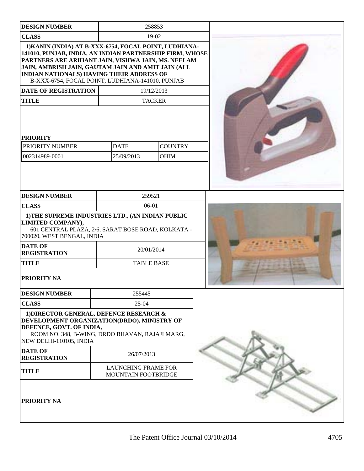| <b>DESIGN NUMBER</b>                                                                                                                                                                                                                                                                                                            |                                                   | 258853         |  |
|---------------------------------------------------------------------------------------------------------------------------------------------------------------------------------------------------------------------------------------------------------------------------------------------------------------------------------|---------------------------------------------------|----------------|--|
| <b>CLASS</b>                                                                                                                                                                                                                                                                                                                    | 19-02                                             |                |  |
| 1) KANIN (INDIA) AT B-XXX-6754, FOCAL POINT, LUDHIANA-<br>141010, PUNJAB, INDIA, AN INDIAN PARTNERSHIP FIRM, WHOSE<br>PARTNERS ARE ARIHANT JAIN, VISHWA JAIN, MS. NEELAM<br>JAIN, AMBRISH JAIN, GAUTAM JAIN AND AMIT JAIN (ALL<br>INDIAN NATIONALS) HAVING THEIR ADDRESS OF<br>B-XXX-6754, FOCAL POINT, LUDHIANA-141010, PUNJAB |                                                   |                |  |
| <b>DATE OF REGISTRATION</b>                                                                                                                                                                                                                                                                                                     |                                                   | 19/12/2013     |  |
| <b>TITLE</b>                                                                                                                                                                                                                                                                                                                    |                                                   | <b>TACKER</b>  |  |
| <b>PRIORITY</b><br>PRIORITY NUMBER                                                                                                                                                                                                                                                                                              | <b>DATE</b>                                       | <b>COUNTRY</b> |  |
| 002314989-0001                                                                                                                                                                                                                                                                                                                  | 25/09/2013                                        | <b>OHIM</b>    |  |
| <b>DESIGN NUMBER</b>                                                                                                                                                                                                                                                                                                            | 259521                                            |                |  |
| <b>CLASS</b>                                                                                                                                                                                                                                                                                                                    | 06-01                                             |                |  |
| 1) THE SUPREME INDUSTRIES LTD., (AN INDIAN PUBLIC<br>LIMITED COMPANY),<br>601 CENTRAL PLAZA, 2/6, SARAT BOSE ROAD, KOLKATA -<br>700020, WEST BENGAL, INDIA<br><b>DATE OF</b><br><b>REGISTRATION</b>                                                                                                                             | 20/01/2014                                        |                |  |
| <b>TITLE</b>                                                                                                                                                                                                                                                                                                                    | <b>TABLE BASE</b>                                 |                |  |
| <b>PRIORITY NA</b>                                                                                                                                                                                                                                                                                                              |                                                   |                |  |
| <b>DESIGN NUMBER</b>                                                                                                                                                                                                                                                                                                            | 255445                                            |                |  |
| <b>CLASS</b>                                                                                                                                                                                                                                                                                                                    | 25-04                                             |                |  |
| 1) DIRECTOR GENERAL, DEFENCE RESEARCH &<br>DEVELOPMENT ORGANIZATION(DRDO), MINISTRY OF<br>DEFENCE, GOVT. OF INDIA,<br>ROOM NO. 348, B-WING, DRDO BHAVAN, RAJAJI MARG,<br>NEW DELHI-110105, INDIA                                                                                                                                |                                                   |                |  |
| <b>DATE OF</b><br><b>REGISTRATION</b>                                                                                                                                                                                                                                                                                           | 26/07/2013                                        |                |  |
| <b>TITLE</b>                                                                                                                                                                                                                                                                                                                    | <b>LAUNCHING FRAME FOR</b><br>MOUNTAIN FOOTBRIDGE |                |  |
| PRIORITY NA                                                                                                                                                                                                                                                                                                                     |                                                   |                |  |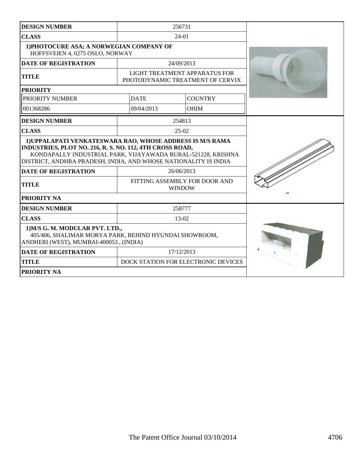| <b>DESIGN NUMBER</b>                                                                                                                                                                                                                                     |                                                | 256731                                                            |  |
|----------------------------------------------------------------------------------------------------------------------------------------------------------------------------------------------------------------------------------------------------------|------------------------------------------------|-------------------------------------------------------------------|--|
| <b>CLASS</b>                                                                                                                                                                                                                                             | 24-01                                          |                                                                   |  |
| 1) PHOTOCURE ASA; A NORWEGIAN COMPANY OF<br>HOFFSVEIEN 4, 0275 OSLO, NORWAY                                                                                                                                                                              |                                                |                                                                   |  |
| <b>DATE OF REGISTRATION</b>                                                                                                                                                                                                                              |                                                | 24/09/2013                                                        |  |
| <b>TITLE</b>                                                                                                                                                                                                                                             |                                                | LIGHT TREATMENT APPARATUS FOR<br>PHOTODYNAMIC TREATMENT OF CERVIX |  |
| <b>PRIORITY</b>                                                                                                                                                                                                                                          |                                                |                                                                   |  |
| PRIORITY NUMBER                                                                                                                                                                                                                                          | <b>DATE</b>                                    | <b>COUNTRY</b>                                                    |  |
| 001368286                                                                                                                                                                                                                                                | 09/04/2013                                     | <b>OHIM</b>                                                       |  |
| <b>DESIGN NUMBER</b>                                                                                                                                                                                                                                     |                                                | 254813                                                            |  |
| <b>CLASS</b>                                                                                                                                                                                                                                             |                                                | $25-02$                                                           |  |
| 1) UPPALAPATI VENKATESWARA RAO, WHOSE ADDRESS IS M/S RAMA<br>INDUSTRIES, PLOT NO. 216, R. S. NO. 112, 4TH CROSS ROAD,<br>KONDAPALLY INDUSTRIAL PARK, VIJAYAWADA RURAL-521228, KRISHNA<br>DISTRICT, ANDHRA PRADESH, INDIA, AND WHOSE NATIONALITY IS INDIA |                                                |                                                                   |  |
| <b>DATE OF REGISTRATION</b>                                                                                                                                                                                                                              | 26/06/2013                                     |                                                                   |  |
| <b>TITLE</b>                                                                                                                                                                                                                                             | FITTING ASSEMBLY FOR DOOR AND<br><b>WINDOW</b> |                                                                   |  |
| <b>PRIORITY NA</b>                                                                                                                                                                                                                                       |                                                |                                                                   |  |
| <b>DESIGN NUMBER</b>                                                                                                                                                                                                                                     |                                                | 258777                                                            |  |
| <b>CLASS</b>                                                                                                                                                                                                                                             | 13-02                                          |                                                                   |  |
| 1) M/S G. M. MODULAR PVT. LTD.,<br>405/406, SHALIMAR MORYA PARK, BEHIND HYUNDAI SHOWROOM,<br>ANDHERI (WEST), MUMBAI-400053., (INDIA)                                                                                                                     |                                                |                                                                   |  |
| <b>DATE OF REGISTRATION</b>                                                                                                                                                                                                                              | 17/12/2013                                     |                                                                   |  |
| <b>TITLE</b>                                                                                                                                                                                                                                             |                                                | DOCK STATION FOR ELECTRONIC DEVICES                               |  |
| <b>PRIORITY NA</b>                                                                                                                                                                                                                                       |                                                |                                                                   |  |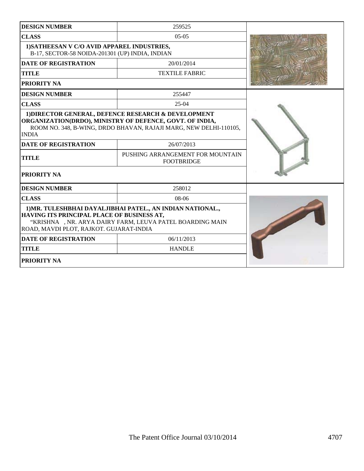| <b>DESIGN NUMBER</b>                                                                                                                                                                                             | 259525                                                |  |
|------------------------------------------------------------------------------------------------------------------------------------------------------------------------------------------------------------------|-------------------------------------------------------|--|
| <b>CLASS</b>                                                                                                                                                                                                     | $05-05$                                               |  |
| 1) SATHEESAN V C/O AVID APPAREL INDUSTRIES,<br>B-17, SECTOR-58 NOIDA-201301 (UP) INDIA, INDIAN                                                                                                                   |                                                       |  |
| <b>DATE OF REGISTRATION</b>                                                                                                                                                                                      | 20/01/2014                                            |  |
| <b>TITLE</b>                                                                                                                                                                                                     | <b>TEXTILE FABRIC</b>                                 |  |
| <b>PRIORITY NA</b>                                                                                                                                                                                               |                                                       |  |
| <b>DESIGN NUMBER</b>                                                                                                                                                                                             | 255447                                                |  |
| <b>CLASS</b>                                                                                                                                                                                                     | $25-04$                                               |  |
| 1) DIRECTOR GENERAL, DEFENCE RESEARCH & DEVELOPMENT<br>ORGANIZATION(DRDO), MINISTRY OF DEFENCE, GOVT. OF INDIA,<br>ROOM NO. 348, B-WING, DRDO BHAVAN, RAJAJI MARG, NEW DELHI-110105,<br><b>INDIA</b>             |                                                       |  |
| <b>DATE OF REGISTRATION</b>                                                                                                                                                                                      | 26/07/2013                                            |  |
| <b>TITLE</b>                                                                                                                                                                                                     | PUSHING ARRANGEMENT FOR MOUNTAIN<br><b>FOOTBRIDGE</b> |  |
| <b>PRIORITY NA</b>                                                                                                                                                                                               |                                                       |  |
| <b>DESIGN NUMBER</b>                                                                                                                                                                                             | 258012                                                |  |
| <b>CLASS</b>                                                                                                                                                                                                     | 08-06                                                 |  |
| 1) MR. TULESHBHAI DAYALJIBHAI PATEL., AN INDIAN NATIONAL.,<br>HAVING ITS PRINCIPAL PLACE OF BUSINESS AT,<br>"KRISHNA , NR. ARYA DAIRY FARM, LEUVA PATEL BOARDING MAIN<br>ROAD, MAVDI PLOT, RAJKOT. GUJARAT-INDIA |                                                       |  |
| <b>DATE OF REGISTRATION</b>                                                                                                                                                                                      | 06/11/2013                                            |  |
| <b>TITLE</b>                                                                                                                                                                                                     | <b>HANDLE</b>                                         |  |
| <b>PRIORITY NA</b>                                                                                                                                                                                               |                                                       |  |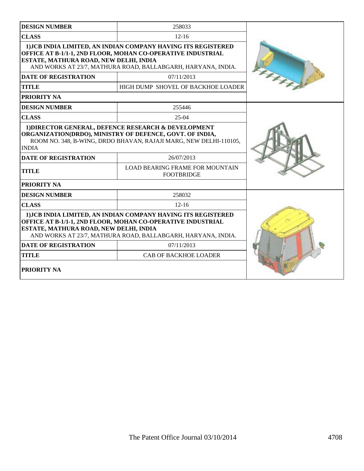| <b>DESIGN NUMBER</b>                                                                                                                                                                                                                                                                                                                               | 258033                                                                                                                                                                                                                                                            |  |
|----------------------------------------------------------------------------------------------------------------------------------------------------------------------------------------------------------------------------------------------------------------------------------------------------------------------------------------------------|-------------------------------------------------------------------------------------------------------------------------------------------------------------------------------------------------------------------------------------------------------------------|--|
| <b>CLASS</b>                                                                                                                                                                                                                                                                                                                                       | $12 - 16$                                                                                                                                                                                                                                                         |  |
| ESTATE, MATHURA ROAD, NEW DELHI, INDIA                                                                                                                                                                                                                                                                                                             | 1) JCB INDIA LIMITED, AN INDIAN COMPANY HAVING ITS REGISTERED<br>OFFICE AT B-1/1-1, 2ND FLOOR, MOHAN CO-OPERATIVE INDUSTRIAL<br>AND WORKS AT 23/7, MATHURA ROAD, BALLABGARH, HARYANA, INDIA.                                                                      |  |
| <b>DATE OF REGISTRATION</b>                                                                                                                                                                                                                                                                                                                        | 07/11/2013                                                                                                                                                                                                                                                        |  |
| <b>TITLE</b>                                                                                                                                                                                                                                                                                                                                       | HIGH DUMP SHOVEL OF BACKHOE LOADER                                                                                                                                                                                                                                |  |
| PRIORITY NA                                                                                                                                                                                                                                                                                                                                        |                                                                                                                                                                                                                                                                   |  |
| <b>DESIGN NUMBER</b>                                                                                                                                                                                                                                                                                                                               | 255446                                                                                                                                                                                                                                                            |  |
| <b>CLASS</b>                                                                                                                                                                                                                                                                                                                                       | $25-04$                                                                                                                                                                                                                                                           |  |
| <b>INDIA</b><br><b>DATE OF REGISTRATION</b><br><b>TITLE</b><br><b>PRIORITY NA</b>                                                                                                                                                                                                                                                                  | 1) DIRECTOR GENERAL, DEFENCE RESEARCH & DEVELOPMENT<br>ORGANIZATION(DRDO), MINISTRY OF DEFENCE, GOVT. OF INDIA,<br>ROOM NO. 348, B-WING, DRDO BHAVAN, RAJAJI MARG, NEW DELHI-110105,<br>26/07/2013<br><b>LOAD BEARING FRAME FOR MOUNTAIN</b><br><b>FOOTBRIDGE</b> |  |
| <b>DESIGN NUMBER</b>                                                                                                                                                                                                                                                                                                                               | 258032                                                                                                                                                                                                                                                            |  |
| <b>CLASS</b>                                                                                                                                                                                                                                                                                                                                       |                                                                                                                                                                                                                                                                   |  |
| 1) JCB INDIA LIMITED, AN INDIAN COMPANY HAVING ITS REGISTERED<br>OFFICE AT B-1/1-1, 2ND FLOOR, MOHAN CO-OPERATIVE INDUSTRIAL<br>ESTATE, MATHURA ROAD, NEW DELHI, INDIA<br>AND WORKS AT 23/7, MATHURA ROAD, BALLABGARH, HARYANA, INDIA.<br><b>DATE OF REGISTRATION</b><br>07/11/2013<br><b>CAB OF BACKHOE LOADER</b><br><b>TITLE</b><br>PRIORITY NA |                                                                                                                                                                                                                                                                   |  |
|                                                                                                                                                                                                                                                                                                                                                    |                                                                                                                                                                                                                                                                   |  |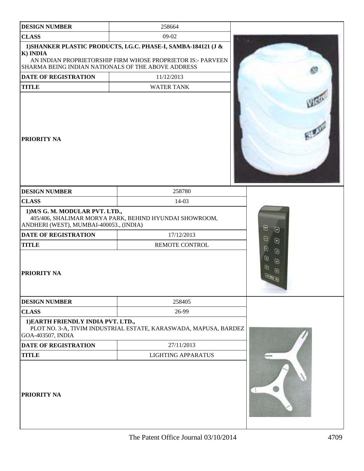| <b>DESIGN NUMBER</b>                                                       | 258664                                                                                                                        |                                                                                |
|----------------------------------------------------------------------------|-------------------------------------------------------------------------------------------------------------------------------|--------------------------------------------------------------------------------|
| <b>CLASS</b>                                                               | 09-02                                                                                                                         |                                                                                |
| K) INDIA<br>SHARMA BEING INDIAN NATIONALS OF THE ABOVE ADDRESS             | 1) SHANKER PLASTIC PRODUCTS, I.G.C. PHASE-I, SAMBA-184121 (J &<br>AN INDIAN PROPRIETORSHIP FIRM WHOSE PROPRIETOR IS:- PARVEEN |                                                                                |
| DATE OF REGISTRATION                                                       | 11/12/2013                                                                                                                    |                                                                                |
| <b>TITLE</b>                                                               | <b>WATER TANK</b>                                                                                                             |                                                                                |
| <b>PRIORITY NA</b>                                                         |                                                                                                                               | <b>LEGIS</b>                                                                   |
| <b>DESIGN NUMBER</b>                                                       | 258780                                                                                                                        |                                                                                |
| <b>CLASS</b>                                                               | 14-03                                                                                                                         |                                                                                |
| 1) M/S G. M. MODULAR PVT. LTD.,<br>ANDHERI (WEST), MUMBAI-400053., (INDIA) | 405/406, SHALIMAR MORYA PARK, BEHIND HYUNDAI SHOWROOM,                                                                        | $\Theta$<br>$\Theta$                                                           |
| <b>DATE OF REGISTRATION</b>                                                | 17/12/2013                                                                                                                    | g,                                                                             |
| <b>TITLE</b>                                                               | REMOTE CONTROL                                                                                                                | $\Theta$<br>o                                                                  |
| <b>PRIORITY NA</b>                                                         |                                                                                                                               | $\begin{array}{c} \hline \end{array}$<br>$\Theta$<br>$\Theta$<br>O<br>$\omega$ |
| <b>DESIGN NUMBER</b>                                                       | 258405                                                                                                                        |                                                                                |
| <b>CLASS</b>                                                               | 26-99                                                                                                                         |                                                                                |
| 1) EARTH FRIENDLY INDIA PVT. LTD.,<br>GOA-403507, INDIA                    | PLOT NO. 3-A, TIVIM INDUSTRIAL ESTATE, KARASWADA, MAPUSA, BARDEZ                                                              |                                                                                |
| DATE OF REGISTRATION                                                       | 27/11/2013                                                                                                                    |                                                                                |
| <b>TITLE</b>                                                               | <b>LIGHTING APPARATUS</b>                                                                                                     |                                                                                |
| <b>PRIORITY NA</b>                                                         |                                                                                                                               |                                                                                |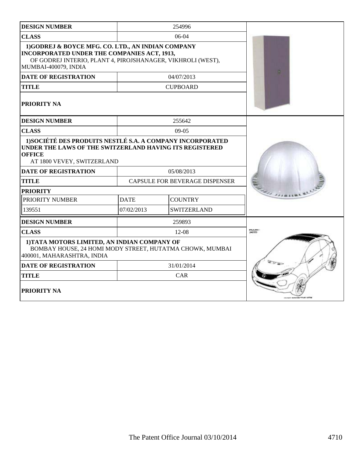| <b>DESIGN NUMBER</b>                                                                                                                                                                           |             | 254996                                |  |
|------------------------------------------------------------------------------------------------------------------------------------------------------------------------------------------------|-------------|---------------------------------------|--|
| <b>CLASS</b>                                                                                                                                                                                   |             | $06-04$                               |  |
| 1)GODREJ & BOYCE MFG. CO. LTD., AN INDIAN COMPANY<br><b>INCORPORATED UNDER THE COMPANIES ACT, 1913,</b><br>OF GODREJ INTERIO, PLANT 4, PIROJSHANAGER, VIKHROLI (WEST),<br>MUMBAI-400079, INDIA |             |                                       |  |
| <b>DATE OF REGISTRATION</b>                                                                                                                                                                    |             | 04/07/2013                            |  |
| <b>TITLE</b>                                                                                                                                                                                   |             | <b>CUPBOARD</b>                       |  |
| <b>PRIORITY NA</b>                                                                                                                                                                             |             |                                       |  |
| <b>DESIGN NUMBER</b>                                                                                                                                                                           |             | 255642                                |  |
| <b>CLASS</b>                                                                                                                                                                                   |             | $09-05$                               |  |
| 1) SOCIÉTÉ DES PRODUITS NESTLÉ S.A. A COMPANY INCORPORATED<br>UNDER THE LAWS OF THE SWITZERLAND HAVING ITS REGISTERED<br><b>OFFICE</b><br>AT 1800 VEVEY, SWITZERLAND                           |             |                                       |  |
| <b>DATE OF REGISTRATION</b>                                                                                                                                                                    |             | 05/08/2013                            |  |
| <b>TITLE</b>                                                                                                                                                                                   |             | <b>CAPSULE FOR BEVERAGE DISPENSER</b> |  |
| <b>PRIORITY</b>                                                                                                                                                                                |             |                                       |  |
| PRIORITY NUMBER                                                                                                                                                                                | <b>DATE</b> | <b>COUNTRY</b>                        |  |
| 139551                                                                                                                                                                                         | 07/02/2013  | <b>SWITZERLAND</b>                    |  |
| <b>DESIGN NUMBER</b>                                                                                                                                                                           |             | 259893                                |  |
| <b>CLASS</b>                                                                                                                                                                                   |             | $12 - 08$                             |  |
| 1) TATA MOTORS LIMITED, AN INDIAN COMPANY OF<br>BOMBAY HOUSE, 24 HOMI MODY STREET, HUTATMA CHOWK, MUMBAI<br>400001, MAHARASHTRA, INDIA                                                         |             |                                       |  |
| <b>DATE OF REGISTRATION</b>                                                                                                                                                                    |             | 31/01/2014                            |  |
| <b>TITLE</b>                                                                                                                                                                                   |             | <b>CAR</b>                            |  |
| <b>PRIORITY NA</b>                                                                                                                                                                             |             |                                       |  |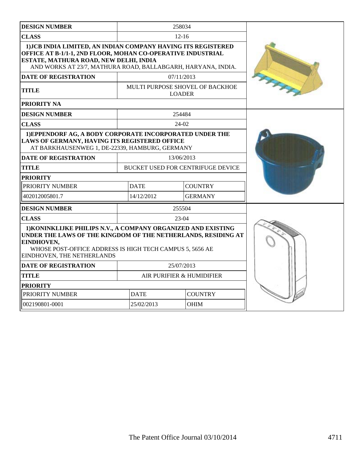| <b>DESIGN NUMBER</b>                                                                                                                                                                                                                   |             | 258034                                           |  |
|----------------------------------------------------------------------------------------------------------------------------------------------------------------------------------------------------------------------------------------|-------------|--------------------------------------------------|--|
| <b>CLASS</b>                                                                                                                                                                                                                           |             | $12 - 16$                                        |  |
| 1) JCB INDIA LIMITED, AN INDIAN COMPANY HAVING ITS REGISTERED<br>OFFICE AT B-1/1-1, 2ND FLOOR, MOHAN CO-OPERATIVE INDUSTRIAL<br>ESTATE, MATHURA ROAD, NEW DELHI, INDIA<br>AND WORKS AT 23/7, MATHURA ROAD, BALLABGARH, HARYANA, INDIA. |             |                                                  |  |
| <b>DATE OF REGISTRATION</b>                                                                                                                                                                                                            |             | 07/11/2013                                       |  |
| <b>TITLE</b>                                                                                                                                                                                                                           |             | MULTI PURPOSE SHOVEL OF BACKHOE<br><b>LOADER</b> |  |
| <b>PRIORITY NA</b>                                                                                                                                                                                                                     |             |                                                  |  |
| <b>DESIGN NUMBER</b>                                                                                                                                                                                                                   |             |                                                  |  |
| <b>CLASS</b>                                                                                                                                                                                                                           |             | 24-02                                            |  |
| 1) EPPENDORF AG, A BODY CORPORATE INCORPORATED UNDER THE<br>LAWS OF GERMANY, HAVING ITS REGISTERED OFFICE<br>AT BARKHAUSENWEG 1, DE-22339, HAMBURG, GERMANY                                                                            |             |                                                  |  |
| <b>DATE OF REGISTRATION</b>                                                                                                                                                                                                            |             | 13/06/2013                                       |  |
| <b>TITLE</b>                                                                                                                                                                                                                           |             | <b>BUCKET USED FOR CENTRIFUGE DEVICE</b>         |  |
| <b>PRIORITY</b>                                                                                                                                                                                                                        |             |                                                  |  |
| PRIORITY NUMBER                                                                                                                                                                                                                        | <b>DATE</b> | <b>COUNTRY</b>                                   |  |
| 402012005801.7                                                                                                                                                                                                                         | 14/12/2012  | <b>GERMANY</b>                                   |  |
| <b>DESIGN NUMBER</b>                                                                                                                                                                                                                   |             | 255504                                           |  |
| <b>CLASS</b>                                                                                                                                                                                                                           |             | 23-04                                            |  |
| 1) KONINKLIJKE PHILIPS N.V., A COMPANY ORGANIZED AND EXISTING<br>UNDER THE LAWS OF THE KINGDOM OF THE NETHERLANDS, RESIDING AT<br>EINDHOVEN,<br>WHOSE POST-OFFICE ADDRESS IS HIGH TECH CAMPUS 5, 5656 AE<br>EINDHOVEN, THE NETHERLANDS |             |                                                  |  |
| <b>DATE OF REGISTRATION</b>                                                                                                                                                                                                            |             | 25/07/2013                                       |  |
| <b>TITLE</b>                                                                                                                                                                                                                           |             | AIR PURIFIER & HUMIDIFIER                        |  |
| <b>PRIORITY</b>                                                                                                                                                                                                                        |             |                                                  |  |
| PRIORITY NUMBER                                                                                                                                                                                                                        | <b>DATE</b> | <b>COUNTRY</b>                                   |  |
| 002190801-0001                                                                                                                                                                                                                         | 25/02/2013  | <b>OHIM</b>                                      |  |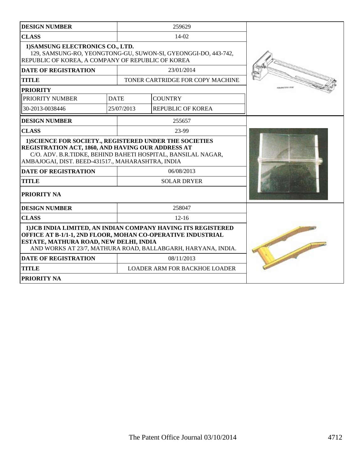| <b>DESIGN NUMBER</b>                                                                                                                                                                                                                                             |                                                                                                                                                                       |  | 259629                               |  |  |  |  |
|------------------------------------------------------------------------------------------------------------------------------------------------------------------------------------------------------------------------------------------------------------------|-----------------------------------------------------------------------------------------------------------------------------------------------------------------------|--|--------------------------------------|--|--|--|--|
| <b>CLASS</b>                                                                                                                                                                                                                                                     |                                                                                                                                                                       |  | 14-02                                |  |  |  |  |
|                                                                                                                                                                                                                                                                  | 1) SAMSUNG ELECTRONICS CO., LTD.<br>129, SAMSUNG-RO, YEONGTONG-GU, SUWON-SI, GYEONGGI-DO, 443-742,<br>REPUBLIC OF KOREA, A COMPANY OF REPUBLIC OF KOREA<br>23/01/2014 |  |                                      |  |  |  |  |
| <b>DATE OF REGISTRATION</b>                                                                                                                                                                                                                                      |                                                                                                                                                                       |  |                                      |  |  |  |  |
| <b>TITLE</b>                                                                                                                                                                                                                                                     |                                                                                                                                                                       |  | TONER CARTRIDGE FOR COPY MACHINE     |  |  |  |  |
| <b>PRIORITY</b>                                                                                                                                                                                                                                                  |                                                                                                                                                                       |  |                                      |  |  |  |  |
| PRIORITY NUMBER                                                                                                                                                                                                                                                  | <b>DATE</b>                                                                                                                                                           |  | <b>COUNTRY</b>                       |  |  |  |  |
| 30-2013-0038446                                                                                                                                                                                                                                                  | 25/07/2013                                                                                                                                                            |  | <b>REPUBLIC OF KOREA</b>             |  |  |  |  |
| <b>DESIGN NUMBER</b>                                                                                                                                                                                                                                             |                                                                                                                                                                       |  | 255657                               |  |  |  |  |
| <b>CLASS</b>                                                                                                                                                                                                                                                     |                                                                                                                                                                       |  | 23-99                                |  |  |  |  |
| 1) SCIENCE FOR SOCIETY., REGISTERED UNDER THE SOCIETIES<br>REGISTRATION ACT, 1860, AND HAVING OUR ADDRESS AT<br>C/O. ADV. B.R.TIDKE, BEHIND BAHETI HOSPITAL, BANSILAL NAGAR,<br>AMBAJOGAI, DIST. BEED-431517., MAHARASHTRA, INDIA<br><b>DATE OF REGISTRATION</b> |                                                                                                                                                                       |  |                                      |  |  |  |  |
| <b>TITLE</b>                                                                                                                                                                                                                                                     |                                                                                                                                                                       |  | <b>SOLAR DRYER</b>                   |  |  |  |  |
| PRIORITY NA                                                                                                                                                                                                                                                      |                                                                                                                                                                       |  |                                      |  |  |  |  |
| <b>DESIGN NUMBER</b>                                                                                                                                                                                                                                             |                                                                                                                                                                       |  | 258047                               |  |  |  |  |
| <b>CLASS</b>                                                                                                                                                                                                                                                     |                                                                                                                                                                       |  | $12 - 16$                            |  |  |  |  |
| 1) JCB INDIA LIMITED, AN INDIAN COMPANY HAVING ITS REGISTERED<br>OFFICE AT B-1/1-1, 2ND FLOOR, MOHAN CO-OPERATIVE INDUSTRIAL<br>ESTATE, MATHURA ROAD, NEW DELHI, INDIA<br>AND WORKS AT 23/7, MATHURA ROAD, BALLABGARH, HARYANA, INDIA.                           |                                                                                                                                                                       |  |                                      |  |  |  |  |
| <b>DATE OF REGISTRATION</b>                                                                                                                                                                                                                                      |                                                                                                                                                                       |  | 08/11/2013                           |  |  |  |  |
| <b>TITLE</b>                                                                                                                                                                                                                                                     |                                                                                                                                                                       |  | <b>LOADER ARM FOR BACKHOE LOADER</b> |  |  |  |  |
| PRIORITY NA                                                                                                                                                                                                                                                      |                                                                                                                                                                       |  |                                      |  |  |  |  |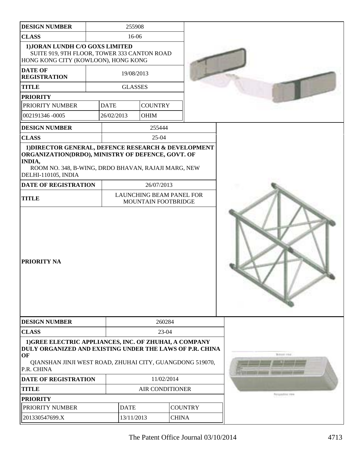| <b>DESIGN NUMBER</b>                                                                                                                                                                               |             | 255908         |                        |                                 |                                                       |
|----------------------------------------------------------------------------------------------------------------------------------------------------------------------------------------------------|-------------|----------------|------------------------|---------------------------------|-------------------------------------------------------|
| <b>CLASS</b>                                                                                                                                                                                       |             | 16-06          |                        |                                 |                                                       |
| 1) JORAN LUNDH C/O GOXS LIMITED<br>SUITE 919, 9TH FLOOR, TOWER 333 CANTON ROAD<br>HONG KONG CITY (KOWLOON), HONG KONG                                                                              |             |                |                        |                                 |                                                       |
| <b>DATE OF</b><br><b>REGISTRATION</b>                                                                                                                                                              |             | 19/08/2013     |                        |                                 |                                                       |
| <b>TITLE</b>                                                                                                                                                                                       |             | <b>GLASSES</b> |                        |                                 |                                                       |
| <b>PRIORITY</b>                                                                                                                                                                                    |             |                |                        |                                 |                                                       |
| PRIORITY NUMBER                                                                                                                                                                                    | <b>DATE</b> |                | <b>COUNTRY</b>         |                                 |                                                       |
| 002191346 -0005                                                                                                                                                                                    | 26/02/2013  |                | OHIM                   |                                 |                                                       |
| <b>DESIGN NUMBER</b>                                                                                                                                                                               |             |                | 255444                 |                                 |                                                       |
| <b>CLASS</b>                                                                                                                                                                                       |             |                | $25-04$                |                                 |                                                       |
| ORGANIZATION(DRDO), MINISTRY OF DEFENCE, GOVT. OF<br>INDIA,<br>ROOM NO. 348, B-WING, DRDO BHAVAN, RAJAJI MARG, NEW<br>DELHI-110105, INDIA<br><b>DATE OF REGISTRATION</b>                           |             |                | 26/07/2013             |                                 |                                                       |
| <b>TITLE</b>                                                                                                                                                                                       |             |                | MOUNTAIN FOOTBRIDGE    | <b>LAUNCHING BEAM PANEL FOR</b> |                                                       |
| PRIORITY NA                                                                                                                                                                                        |             |                |                        |                                 |                                                       |
| <b>DESIGN NUMBER</b>                                                                                                                                                                               |             |                | 260284                 |                                 |                                                       |
| <b>CLASS</b>                                                                                                                                                                                       |             |                | 23-04                  |                                 |                                                       |
| 1) GREE ELECTRIC APPLIANCES, INC. OF ZHUHAI, A COMPANY<br>DULY ORGANIZED AND EXISTING UNDER THE LAWS OF P.R. CHINA<br>OF<br>QIANSHAN JINJI WEST ROAD, ZHUHAI CITY, GUANGDONG 519070,<br>P.R. CHINA |             |                |                        |                                 | Boltzer Chief                                         |
|                                                                                                                                                                                                    |             |                |                        |                                 |                                                       |
| <b>DATE OF REGISTRATION</b>                                                                                                                                                                        |             |                | 11/02/2014             |                                 |                                                       |
| <b>TITLE</b>                                                                                                                                                                                       |             |                | <b>AIR CONDITIONER</b> |                                 |                                                       |
| <b>PRIORITY</b>                                                                                                                                                                                    |             |                |                        |                                 | <b><i><u><i><u><b>ADSUMINEYRA</b></u></i></u></i></b> |
| PRIORITY NUMBER                                                                                                                                                                                    |             | <b>DATE</b>    |                        | <b>COUNTRY</b>                  |                                                       |
| 201330547699.X                                                                                                                                                                                     |             | 13/11/2013     |                        | <b>CHINA</b>                    |                                                       |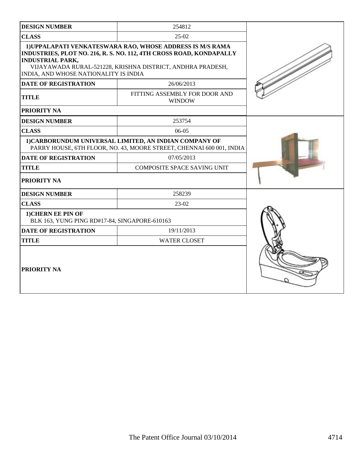| <b>DESIGN NUMBER</b>                                                | 254812                                                                                                                                                                                         |  |  |  |  |  |
|---------------------------------------------------------------------|------------------------------------------------------------------------------------------------------------------------------------------------------------------------------------------------|--|--|--|--|--|
| <b>CLASS</b>                                                        | $25-02$                                                                                                                                                                                        |  |  |  |  |  |
| <b>INDUSTRIAL PARK,</b><br>INDIA, AND WHOSE NATIONALITY IS INDIA    | 1) UPPALAPATI VENKATESWARA RAO, WHOSE ADDRESS IS M/S RAMA<br>INDUSTRIES, PLOT NO. 216, R. S. NO. 112, 4TH CROSS ROAD, KONDAPALLY<br>VIJAYAWADA RURAL-521228, KRISHNA DISTRICT, ANDHRA PRADESH, |  |  |  |  |  |
| <b>DATE OF REGISTRATION</b>                                         |                                                                                                                                                                                                |  |  |  |  |  |
| <b>TITLE</b>                                                        | FITTING ASSEMBLY FOR DOOR AND<br><b>WINDOW</b>                                                                                                                                                 |  |  |  |  |  |
| <b>PRIORITY NA</b>                                                  |                                                                                                                                                                                                |  |  |  |  |  |
| <b>DESIGN NUMBER</b>                                                | 253754                                                                                                                                                                                         |  |  |  |  |  |
| <b>CLASS</b>                                                        | $06-05$                                                                                                                                                                                        |  |  |  |  |  |
|                                                                     | 1) CARBORUNDUM UNIVERSAL LIMITED, AN INDIAN COMPANY OF<br>PARRY HOUSE, 6TH FLOOR, NO. 43, MOORE STREET, CHENNAI 600 001, INDIA                                                                 |  |  |  |  |  |
| <b>DATE OF REGISTRATION</b>                                         | 07/05/2013                                                                                                                                                                                     |  |  |  |  |  |
| <b>TITLE</b>                                                        | <b>COMPOSITE SPACE SAVING UNIT</b>                                                                                                                                                             |  |  |  |  |  |
| PRIORITY NA                                                         |                                                                                                                                                                                                |  |  |  |  |  |
| <b>DESIGN NUMBER</b>                                                | 258239                                                                                                                                                                                         |  |  |  |  |  |
| <b>CLASS</b>                                                        | 23-02                                                                                                                                                                                          |  |  |  |  |  |
| 1) CHERN EE PIN OF<br>BLK 163, YUNG PING RD#17-84, SINGAPORE-610163 |                                                                                                                                                                                                |  |  |  |  |  |
| <b>DATE OF REGISTRATION</b>                                         | 19/11/2013                                                                                                                                                                                     |  |  |  |  |  |
| <b>TITLE</b>                                                        | <b>WATER CLOSET</b>                                                                                                                                                                            |  |  |  |  |  |
| PRIORITY NA                                                         |                                                                                                                                                                                                |  |  |  |  |  |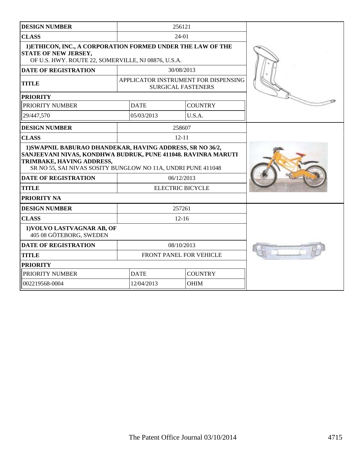| <b>DESIGN NUMBER</b>                                                                                                                                                                                                                                                   |             | 256121                                                            |  |
|------------------------------------------------------------------------------------------------------------------------------------------------------------------------------------------------------------------------------------------------------------------------|-------------|-------------------------------------------------------------------|--|
| <b>CLASS</b>                                                                                                                                                                                                                                                           |             | $24-01$                                                           |  |
| 1) ETHICON, INC., A CORPORATION FORMED UNDER THE LAW OF THE<br><b>STATE OF NEW JERSEY,</b><br>OF U.S. HWY. ROUTE 22, SOMERVILLE, NJ 08876, U.S.A.                                                                                                                      |             |                                                                   |  |
| <b>DATE OF REGISTRATION</b>                                                                                                                                                                                                                                            |             | 30/08/2013                                                        |  |
| <b>TITLE</b>                                                                                                                                                                                                                                                           |             | APPLICATOR INSTRUMENT FOR DISPENSING<br><b>SURGICAL FASTENERS</b> |  |
| <b>PRIORITY</b>                                                                                                                                                                                                                                                        |             |                                                                   |  |
| PRIORITY NUMBER                                                                                                                                                                                                                                                        | <b>DATE</b> | <b>COUNTRY</b>                                                    |  |
| 29/447,570                                                                                                                                                                                                                                                             | 05/03/2013  | U.S.A.                                                            |  |
| <b>DESIGN NUMBER</b>                                                                                                                                                                                                                                                   |             | 258607                                                            |  |
| <b>CLASS</b>                                                                                                                                                                                                                                                           |             | $12 - 11$                                                         |  |
| 1) SWAPNIL BABURAO DHANDEKAR, HAVING ADDRESS, SR NO 36/2,<br>SANJEEVANI NIVAS, KONDHWA BUDRUK, PUNE 411048. RAVINRA MARUTI<br>TRIMBAKE, HAVING ADDRESS,<br>SR NO 55, SAI NIVAS SOSITY BUNGLOW NO 11A, UNDRI PUNE 411048<br><b>DATE OF REGISTRATION</b><br><b>TITLE</b> |             |                                                                   |  |
| <b>PRIORITY NA</b>                                                                                                                                                                                                                                                     |             |                                                                   |  |
| <b>DESIGN NUMBER</b>                                                                                                                                                                                                                                                   |             | 257261                                                            |  |
| <b>CLASS</b>                                                                                                                                                                                                                                                           |             | $12 - 16$                                                         |  |
| 1) VOLVO LASTVAGNAR AB, OF<br>405 08 GÖTEBORG, SWEDEN                                                                                                                                                                                                                  |             |                                                                   |  |
| <b>DATE OF REGISTRATION</b>                                                                                                                                                                                                                                            |             | 08/10/2013                                                        |  |
| <b>TITLE</b>                                                                                                                                                                                                                                                           |             | FRONT PANEL FOR VEHICLE                                           |  |
| <b>PRIORITY</b>                                                                                                                                                                                                                                                        |             |                                                                   |  |
| PRIORITY NUMBER                                                                                                                                                                                                                                                        | <b>DATE</b> | <b>COUNTRY</b>                                                    |  |
| 002219568-0004                                                                                                                                                                                                                                                         | 12/04/2013  | <b>OHIM</b>                                                       |  |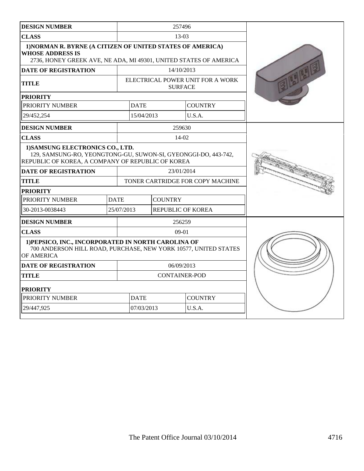| <b>DESIGN NUMBER</b>                                                                                                                                       | 257496      |                                  |                                  |                |  |  |
|------------------------------------------------------------------------------------------------------------------------------------------------------------|-------------|----------------------------------|----------------------------------|----------------|--|--|
| <b>CLASS</b>                                                                                                                                               |             |                                  | $13-03$                          |                |  |  |
| 1) NORMAN R. BYRNE (A CITIZEN OF UNITED STATES OF AMERICA)<br><b>WHOSE ADDRESS IS</b><br>2736, HONEY GREEK AVE, NE ADA, MI 49301, UNITED STATES OF AMERICA |             |                                  |                                  |                |  |  |
| <b>DATE OF REGISTRATION</b>                                                                                                                                |             |                                  | 14/10/2013                       |                |  |  |
| <b>TITLE</b>                                                                                                                                               |             | <b>SURFACE</b>                   | ELECTRICAL POWER UNIT FOR A WORK |                |  |  |
| <b>PRIORITY</b>                                                                                                                                            |             |                                  |                                  |                |  |  |
| PRIORITY NUMBER                                                                                                                                            |             | <b>DATE</b>                      |                                  | <b>COUNTRY</b> |  |  |
| 29/452,254                                                                                                                                                 |             | 15/04/2013                       |                                  | U.S.A.         |  |  |
| <b>DESIGN NUMBER</b>                                                                                                                                       |             |                                  | 259630                           |                |  |  |
| <b>CLASS</b>                                                                                                                                               |             |                                  | 14-02                            |                |  |  |
| 1) SAMSUNG ELECTRONICS CO., LTD.<br>129, SAMSUNG-RO, YEONGTONG-GU, SUWON-SI, GYEONGGI-DO, 443-742,<br>REPUBLIC OF KOREA, A COMPANY OF REPUBLIC OF KOREA    |             |                                  |                                  |                |  |  |
| <b>DATE OF REGISTRATION</b>                                                                                                                                |             |                                  | 23/01/2014                       |                |  |  |
| <b>TITLE</b>                                                                                                                                               |             | TONER CARTRIDGE FOR COPY MACHINE |                                  |                |  |  |
| <b>PRIORITY</b>                                                                                                                                            |             |                                  |                                  |                |  |  |
| PRIORITY NUMBER                                                                                                                                            | <b>DATE</b> |                                  | <b>COUNTRY</b>                   |                |  |  |
| 30-2013-0038443                                                                                                                                            |             | 25/07/2013                       | <b>REPUBLIC OF KOREA</b>         |                |  |  |
| <b>DESIGN NUMBER</b>                                                                                                                                       |             |                                  | 256259                           |                |  |  |
| <b>CLASS</b>                                                                                                                                               |             |                                  | $09-01$                          |                |  |  |
| 1) PEPSICO, INC., INCORPORATED IN NORTH CAROLINA OF<br>700 ANDERSON HILL ROAD, PURCHASE, NEW YORK 10577, UNITED STATES<br>OF AMERICA                       |             |                                  |                                  |                |  |  |
| <b>DATE OF REGISTRATION</b>                                                                                                                                |             |                                  | 06/09/2013                       |                |  |  |
| <b>TITLE</b>                                                                                                                                               |             | <b>CONTAINER-POD</b>             |                                  |                |  |  |
| <b>PRIORITY</b>                                                                                                                                            |             |                                  |                                  |                |  |  |
| PRIORITY NUMBER                                                                                                                                            |             | <b>DATE</b>                      |                                  | <b>COUNTRY</b> |  |  |
| 29/447,925                                                                                                                                                 |             | 07/03/2013                       |                                  | U.S.A.         |  |  |
|                                                                                                                                                            |             |                                  |                                  |                |  |  |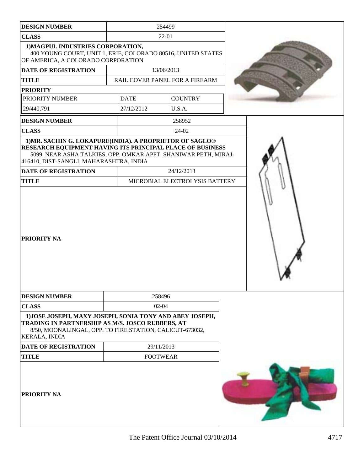| <b>DESIGN NUMBER</b>                                                                                                                                                                             |             | 254499                                       |  |
|--------------------------------------------------------------------------------------------------------------------------------------------------------------------------------------------------|-------------|----------------------------------------------|--|
| <b>CLASS</b>                                                                                                                                                                                     |             | 22-01                                        |  |
| 1) MAGPUL INDUSTRIES CORPORATION,<br>400 YOUNG COURT, UNIT 1, ERIE, COLORADO 80516, UNITED STATES<br>OF AMERICA, A COLORADO CORPORATION                                                          |             |                                              |  |
| <b>DATE OF REGISTRATION</b>                                                                                                                                                                      |             | 13/06/2013                                   |  |
| <b>TITLE</b>                                                                                                                                                                                     |             | RAIL COVER PANEL FOR A FIREARM               |  |
| <b>PRIORITY</b>                                                                                                                                                                                  |             |                                              |  |
| PRIORITY NUMBER                                                                                                                                                                                  | <b>DATE</b> | <b>COUNTRY</b>                               |  |
| 29/440,791                                                                                                                                                                                       | 27/12/2012  | U.S.A.                                       |  |
| <b>DESIGN NUMBER</b>                                                                                                                                                                             |             | 258952                                       |  |
| <b>CLASS</b>                                                                                                                                                                                     |             | 24-02                                        |  |
| 5099, NEAR ASHA TALKIES, OPP. OMKAR APPT, SHANIWAR PETH, MIRAJ-<br>416410, DIST-SANGLI, MAHARASHTRA, INDIA<br><b>DATE OF REGISTRATION</b><br><b>TITLE</b>                                        |             | 24/12/2013<br>MICROBIAL ELECTROLYSIS BATTERY |  |
| PRIORITY NA                                                                                                                                                                                      |             |                                              |  |
| <b>DESIGN NUMBER</b>                                                                                                                                                                             |             | 258496                                       |  |
| <b>CLASS</b>                                                                                                                                                                                     |             | $02 - 04$                                    |  |
| 1) JOSE JOSEPH, MAXY JOSEPH, SONIA TONY AND ABEY JOSEPH,<br>TRADING IN PARTNERSHIP AS M/S. JOSCO RUBBERS, AT<br>8/50, MOONALINGAL, OPP. TO FIRE STATION, CALICUT-673032,<br><b>KERALA, INDIA</b> |             |                                              |  |
| DATE OF REGISTRATION                                                                                                                                                                             |             | 29/11/2013                                   |  |
| <b>TITLE</b>                                                                                                                                                                                     |             | <b>FOOTWEAR</b>                              |  |
| <b>PRIORITY NA</b>                                                                                                                                                                               |             |                                              |  |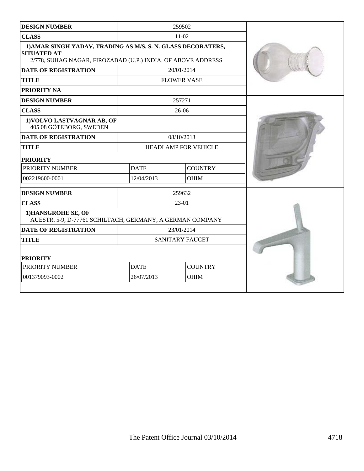| <b>DESIGN NUMBER</b>                                                                                                                               |             | 259502                 |  |
|----------------------------------------------------------------------------------------------------------------------------------------------------|-------------|------------------------|--|
| <b>CLASS</b>                                                                                                                                       |             | $11-02$                |  |
| 1) AMAR SINGH YADAV, TRADING AS M/S. S. N. GLASS DECORATERS,<br><b>SITUATED AT</b><br>2/778, SUHAG NAGAR, FIROZABAD (U.P.) INDIA, OF ABOVE ADDRESS |             |                        |  |
| <b>DATE OF REGISTRATION</b>                                                                                                                        |             | 20/01/2014             |  |
| <b>TITLE</b>                                                                                                                                       |             | <b>FLOWER VASE</b>     |  |
| <b>PRIORITY NA</b>                                                                                                                                 |             |                        |  |
| <b>DESIGN NUMBER</b>                                                                                                                               |             | 257271                 |  |
| <b>CLASS</b>                                                                                                                                       |             | $26-06$                |  |
| 1) VOLVO LASTVAGNAR AB, OF<br>405 08 GÖTEBORG, SWEDEN                                                                                              |             |                        |  |
| <b>DATE OF REGISTRATION</b>                                                                                                                        |             | 08/10/2013             |  |
| <b>TITLE</b>                                                                                                                                       |             | HEADLAMP FOR VEHICLE   |  |
| <b>PRIORITY</b>                                                                                                                                    |             |                        |  |
| PRIORITY NUMBER                                                                                                                                    | <b>DATE</b> | <b>COUNTRY</b>         |  |
| 002219600-0001                                                                                                                                     | 12/04/2013  | <b>OHIM</b>            |  |
| <b>DESIGN NUMBER</b>                                                                                                                               |             | 259632                 |  |
| <b>CLASS</b>                                                                                                                                       |             | $23-01$                |  |
| 1) HANSGROHE SE, OF<br>AUESTR. 5-9, D-77761 SCHILTACH, GERMANY, A GERMAN COMPANY                                                                   |             |                        |  |
| <b>DATE OF REGISTRATION</b>                                                                                                                        |             | 23/01/2014             |  |
| <b>TITLE</b>                                                                                                                                       |             | <b>SANITARY FAUCET</b> |  |
| <b>PRIORITY</b>                                                                                                                                    |             |                        |  |
| PRIORITY NUMBER                                                                                                                                    | <b>DATE</b> | <b>COUNTRY</b>         |  |
| 001379093-0002                                                                                                                                     | 26/07/2013  | <b>OHIM</b>            |  |
|                                                                                                                                                    |             |                        |  |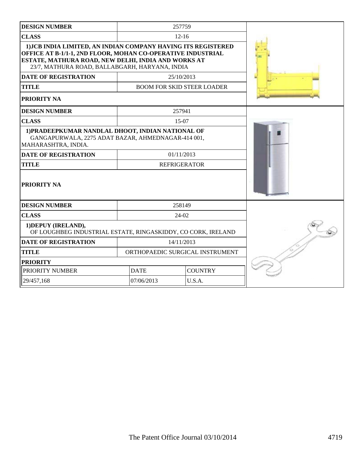| <b>DESIGN NUMBER</b>                                                                                                                                                                                                                  |             | 257759                            |  |
|---------------------------------------------------------------------------------------------------------------------------------------------------------------------------------------------------------------------------------------|-------------|-----------------------------------|--|
| <b>CLASS</b>                                                                                                                                                                                                                          |             | $12 - 16$                         |  |
| 1) JCB INDIA LIMITED, AN INDIAN COMPANY HAVING ITS REGISTERED<br>OFFICE AT B-1/1-1, 2ND FLOOR, MOHAN CO-OPERATIVE INDUSTRIAL<br>ESTATE, MATHURA ROAD, NEW DELHI, INDIA AND WORKS AT<br>23/7, MATHURA ROAD, BALLABGARH, HARYANA, INDIA |             |                                   |  |
| <b>DATE OF REGISTRATION</b>                                                                                                                                                                                                           |             | 25/10/2013                        |  |
| <b>TITLE</b>                                                                                                                                                                                                                          |             | <b>BOOM FOR SKID STEER LOADER</b> |  |
| PRIORITY NA                                                                                                                                                                                                                           |             |                                   |  |
| <b>DESIGN NUMBER</b>                                                                                                                                                                                                                  |             | 257941                            |  |
| <b>CLASS</b>                                                                                                                                                                                                                          |             | 15-07                             |  |
| 1) PRADEEPKUMAR NANDLAL DHOOT, INDIAN NATIONAL OF<br>GANGAPURWALA, 2275 ADAT BAZAR, AHMEDNAGAR-414 001,<br>MAHARASHTRA, INDIA.                                                                                                        |             |                                   |  |
| <b>DATE OF REGISTRATION</b>                                                                                                                                                                                                           |             | 01/11/2013                        |  |
| <b>TITLE</b>                                                                                                                                                                                                                          |             | <b>REFRIGERATOR</b>               |  |
| PRIORITY NA                                                                                                                                                                                                                           |             |                                   |  |
| <b>DESIGN NUMBER</b>                                                                                                                                                                                                                  |             | 258149                            |  |
| <b>CLASS</b>                                                                                                                                                                                                                          |             | 24-02                             |  |
| 1) DEPUY (IRELAND),<br>OF LOUGHBEG INDUSTRIAL ESTATE, RINGASKIDDY, CO CORK, IRELAND                                                                                                                                                   |             |                                   |  |
| <b>DATE OF REGISTRATION</b>                                                                                                                                                                                                           |             | 14/11/2013                        |  |
| <b>TITLE</b>                                                                                                                                                                                                                          |             | ORTHOPAEDIC SURGICAL INSTRUMENT   |  |
| <b>PRIORITY</b>                                                                                                                                                                                                                       |             |                                   |  |
| PRIORITY NUMBER                                                                                                                                                                                                                       | <b>DATE</b> | <b>COUNTRY</b>                    |  |
| 29/457,168                                                                                                                                                                                                                            | 07/06/2013  | U.S.A.                            |  |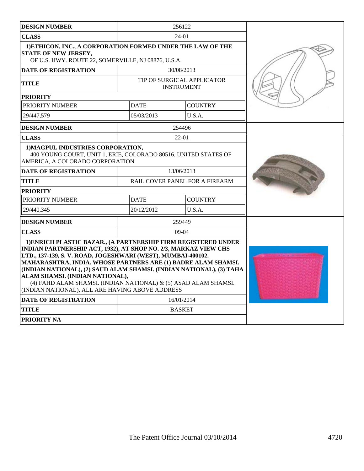| <b>DESIGN NUMBER</b>                                                                                                                                                                                                                                                                                                                                                                                                                                                                               |             | 256122                                          |  |
|----------------------------------------------------------------------------------------------------------------------------------------------------------------------------------------------------------------------------------------------------------------------------------------------------------------------------------------------------------------------------------------------------------------------------------------------------------------------------------------------------|-------------|-------------------------------------------------|--|
| <b>CLASS</b>                                                                                                                                                                                                                                                                                                                                                                                                                                                                                       |             | 24-01                                           |  |
| 1) ETHICON, INC., A CORPORATION FORMED UNDER THE LAW OF THE<br>STATE OF NEW JERSEY,<br>OF U.S. HWY. ROUTE 22, SOMERVILLE, NJ 08876, U.S.A.                                                                                                                                                                                                                                                                                                                                                         |             |                                                 |  |
| <b>DATE OF REGISTRATION</b>                                                                                                                                                                                                                                                                                                                                                                                                                                                                        |             | 30/08/2013                                      |  |
| TITLE                                                                                                                                                                                                                                                                                                                                                                                                                                                                                              |             | TIP OF SURGICAL APPLICATOR<br><b>INSTRUMENT</b> |  |
| <b>PRIORITY</b>                                                                                                                                                                                                                                                                                                                                                                                                                                                                                    |             |                                                 |  |
| PRIORITY NUMBER                                                                                                                                                                                                                                                                                                                                                                                                                                                                                    | <b>DATE</b> | <b>COUNTRY</b>                                  |  |
| 29/447.579                                                                                                                                                                                                                                                                                                                                                                                                                                                                                         | 05/03/2013  | U.S.A.                                          |  |
| <b>DESIGN NUMBER</b>                                                                                                                                                                                                                                                                                                                                                                                                                                                                               |             | 254496                                          |  |
| <b>CLASS</b>                                                                                                                                                                                                                                                                                                                                                                                                                                                                                       |             | $22 - 01$                                       |  |
| 1) MAGPUL INDUSTRIES CORPORATION,<br>400 YOUNG COURT, UNIT 1, ERIE, COLORADO 80516, UNITED STATES OF<br>AMERICA, A COLORADO CORPORATION                                                                                                                                                                                                                                                                                                                                                            |             |                                                 |  |
| <b>DATE OF REGISTRATION</b>                                                                                                                                                                                                                                                                                                                                                                                                                                                                        |             | 13/06/2013                                      |  |
| TITLE                                                                                                                                                                                                                                                                                                                                                                                                                                                                                              |             | RAIL COVER PANEL FOR A FIREARM                  |  |
| <b>PRIORITY</b>                                                                                                                                                                                                                                                                                                                                                                                                                                                                                    |             |                                                 |  |
| PRIORITY NUMBER                                                                                                                                                                                                                                                                                                                                                                                                                                                                                    | <b>DATE</b> | <b>COUNTRY</b>                                  |  |
| 29/440.345                                                                                                                                                                                                                                                                                                                                                                                                                                                                                         | 20/12/2012  | U.S.A.                                          |  |
| <b>DESIGN NUMBER</b>                                                                                                                                                                                                                                                                                                                                                                                                                                                                               |             | 259449                                          |  |
| <b>CLASS</b>                                                                                                                                                                                                                                                                                                                                                                                                                                                                                       |             | $09-04$                                         |  |
| 1) ENRICH PLASTIC BAZAR., (A PARTNERSHIP FIRM REGISTERED UNDER<br>INDIAN PARTNERSHIP ACT, 1932), AT SHOP NO. 2/3, MARKAZ VIEW CHS<br>LTD., 137-139, S.V. ROAD, JOGESHWARI (WEST), MUMBAI-400102.<br>MAHARASHTRA, INDIA. WHOSE PARTNERS ARE (1) BADRE ALAM SHAMSI.<br>(INDIAN NATIONAL), (2) SAUD ALAM SHAMSI. (INDIAN NATIONAL), (3) TAHA<br>ALAM SHAMSI. (INDIAN NATIONAL),<br>(4) FAHD ALAM SHAMSI. (INDIAN NATIONAL) & (5) ASAD ALAM SHAMSI.<br>(INDIAN NATIONAL), ALL ARE HAVING ABOVE ADDRESS |             |                                                 |  |
| <b>DATE OF REGISTRATION</b>                                                                                                                                                                                                                                                                                                                                                                                                                                                                        |             | 16/01/2014                                      |  |
| TITLE                                                                                                                                                                                                                                                                                                                                                                                                                                                                                              |             | <b>BASKET</b>                                   |  |
| <b>PRIORITY NA</b>                                                                                                                                                                                                                                                                                                                                                                                                                                                                                 |             |                                                 |  |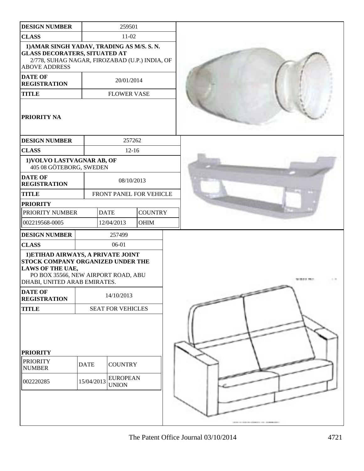| <b>DESIGN NUMBER</b>                                                                                                                                                      |             | 259501                          |                |  |  |  |  |  |
|---------------------------------------------------------------------------------------------------------------------------------------------------------------------------|-------------|---------------------------------|----------------|--|--|--|--|--|
| <b>CLASS</b>                                                                                                                                                              |             | 11-02                           |                |  |  |  |  |  |
| 1) AMAR SINGH YADAV, TRADING AS M/S. S. N.<br><b>GLASS DECORATERS, SITUATED AT</b><br>2/778, SUHAG NAGAR, FIROZABAD (U.P.) INDIA, OF<br><b>ABOVE ADDRESS</b>              |             |                                 |                |  |  |  |  |  |
| <b>DATE OF</b><br>20/01/2014<br><b>REGISTRATION</b>                                                                                                                       |             |                                 |                |  |  |  |  |  |
| <b>TITLE</b>                                                                                                                                                              |             | <b>FLOWER VASE</b>              |                |  |  |  |  |  |
| <b>PRIORITY NA</b>                                                                                                                                                        |             |                                 |                |  |  |  |  |  |
| <b>DESIGN NUMBER</b>                                                                                                                                                      |             | 257262                          |                |  |  |  |  |  |
| <b>CLASS</b>                                                                                                                                                              |             | $12 - 16$                       |                |  |  |  |  |  |
| 1) VOLVO LASTVAGNAR AB, OF<br>405 08 GÖTEBORG, SWEDEN                                                                                                                     |             |                                 |                |  |  |  |  |  |
| <b>DATE OF</b><br><b>REGISTRATION</b>                                                                                                                                     |             | 08/10/2013                      |                |  |  |  |  |  |
| <b>TITLE</b>                                                                                                                                                              |             | FRONT PANEL FOR VEHICLE         |                |  |  |  |  |  |
| <b>PRIORITY</b>                                                                                                                                                           |             |                                 |                |  |  |  |  |  |
| PRIORITY NUMBER                                                                                                                                                           |             | <b>DATE</b>                     | <b>COUNTRY</b> |  |  |  |  |  |
| 002219568-0005                                                                                                                                                            |             | 12/04/2013                      | OHIM           |  |  |  |  |  |
| <b>DESIGN NUMBER</b>                                                                                                                                                      |             | 257499                          |                |  |  |  |  |  |
| <b>CLASS</b>                                                                                                                                                              |             | 06-01                           |                |  |  |  |  |  |
| 1) ETIHAD AIRWAYS, A PRIVATE JOINT<br>STOCK COMPANY ORGANIZED UNDER THE<br><b>LAWS OF THE UAE,</b><br>PO BOX 35566, NEW AIRPORT ROAD, ABU<br>DHABI, UNITED ARAB EMIRATES. |             |                                 |                |  |  |  |  |  |
| <b>DATE OF</b><br><b>REGISTRATION</b>                                                                                                                                     |             | 14/10/2013                      |                |  |  |  |  |  |
| <b>TITLE</b>                                                                                                                                                              |             | SEAT FOR VEHICLES               |                |  |  |  |  |  |
|                                                                                                                                                                           |             |                                 |                |  |  |  |  |  |
| <b>PRIORITY</b>                                                                                                                                                           |             |                                 |                |  |  |  |  |  |
| <b>PRIORITY</b><br><b>NUMBER</b>                                                                                                                                          | <b>DATE</b> | <b>COUNTRY</b>                  |                |  |  |  |  |  |
| 002220285                                                                                                                                                                 | 15/04/2013  | <b>EUROPEAN</b><br><b>UNION</b> |                |  |  |  |  |  |
|                                                                                                                                                                           |             |                                 |                |  |  |  |  |  |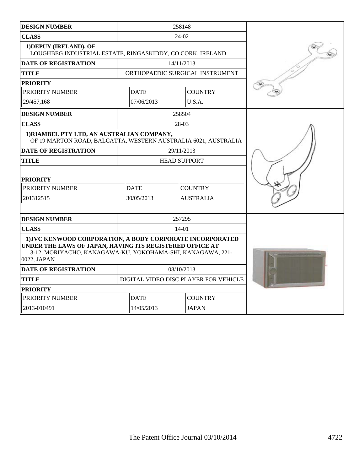| <b>DESIGN NUMBER</b>                                                                                                                                                                               | 258148                                |                            |                                 |  |
|----------------------------------------------------------------------------------------------------------------------------------------------------------------------------------------------------|---------------------------------------|----------------------------|---------------------------------|--|
| <b>CLASS</b>                                                                                                                                                                                       |                                       | $24-02$                    |                                 |  |
| 1) DEPUY (IRELAND), OF<br>LOUGHBEG INDUSTRIAL ESTATE, RINGASKIDDY, CO CORK, IRELAND                                                                                                                |                                       |                            |                                 |  |
| <b>DATE OF REGISTRATION</b>                                                                                                                                                                        |                                       | 14/11/2013                 |                                 |  |
| <b>TITLE</b>                                                                                                                                                                                       |                                       |                            | ORTHOPAEDIC SURGICAL INSTRUMENT |  |
| <b>PRIORITY</b>                                                                                                                                                                                    |                                       |                            |                                 |  |
| PRIORITY NUMBER                                                                                                                                                                                    |                                       | <b>DATE</b>                | <b>COUNTRY</b>                  |  |
| 29/457,168                                                                                                                                                                                         |                                       | 07/06/2013                 | U.S.A.                          |  |
| <b>DESIGN NUMBER</b>                                                                                                                                                                               |                                       | 258504                     |                                 |  |
| <b>CLASS</b>                                                                                                                                                                                       |                                       | 28-03                      |                                 |  |
| 1) RIAMBEL PTY LTD, AN AUSTRALIAN COMPANY,<br>OF 19 MARTON ROAD, BALCATTA, WESTERN AUSTRALIA 6021, AUSTRALIA                                                                                       |                                       |                            |                                 |  |
| <b>DATE OF REGISTRATION</b>                                                                                                                                                                        |                                       | 29/11/2013                 |                                 |  |
| <b>TITLE</b>                                                                                                                                                                                       | <b>HEAD SUPPORT</b>                   |                            |                                 |  |
| <b>PRIORITY</b>                                                                                                                                                                                    |                                       |                            |                                 |  |
| PRIORITY NUMBER                                                                                                                                                                                    |                                       | <b>DATE</b>                | <b>COUNTRY</b>                  |  |
| 201312515                                                                                                                                                                                          | 30/05/2013<br><b>AUSTRALIA</b>        |                            |                                 |  |
|                                                                                                                                                                                                    |                                       |                            |                                 |  |
| <b>DESIGN NUMBER</b>                                                                                                                                                                               |                                       | 257295                     |                                 |  |
| <b>CLASS</b>                                                                                                                                                                                       |                                       | 14-01                      |                                 |  |
| 1) JVC KENWOOD CORPORATION, A BODY CORPORATE INCORPORATED<br>UNDER THE LAWS OF JAPAN, HAVING ITS REGISTERED OFFICE AT<br>3-12, MORIYACHO, KANAGAWA-KU, YOKOHAMA-SHI, KANAGAWA, 221-<br>0022, JAPAN |                                       |                            |                                 |  |
| <b>DATE OF REGISTRATION</b>                                                                                                                                                                        | 08/10/2013                            |                            |                                 |  |
| <b>TITLE</b>                                                                                                                                                                                       | DIGITAL VIDEO DISC PLAYER FOR VEHICLE |                            |                                 |  |
| <b>PRIORITY</b>                                                                                                                                                                                    |                                       |                            |                                 |  |
| PRIORITY NUMBER                                                                                                                                                                                    |                                       | <b>DATE</b>                | <b>COUNTRY</b>                  |  |
| 2013-010491                                                                                                                                                                                        |                                       | 14/05/2013<br><b>JAPAN</b> |                                 |  |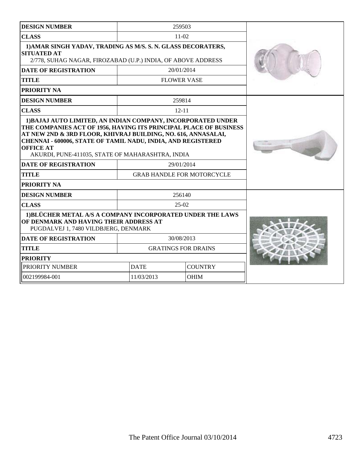| <b>DESIGN NUMBER</b>                                                                                                                                                                                                                                                                                                                                                                                     |                                                 | 259503                     |  |
|----------------------------------------------------------------------------------------------------------------------------------------------------------------------------------------------------------------------------------------------------------------------------------------------------------------------------------------------------------------------------------------------------------|-------------------------------------------------|----------------------------|--|
| <b>CLASS</b>                                                                                                                                                                                                                                                                                                                                                                                             |                                                 | $11-02$                    |  |
| 1) AMAR SINGH YADAV, TRADING AS M/S. S. N. GLASS DECORATERS,<br><b>SITUATED AT</b><br>2/778, SUHAG NAGAR, FIROZABAD (U.P.) INDIA, OF ABOVE ADDRESS                                                                                                                                                                                                                                                       |                                                 |                            |  |
| <b>DATE OF REGISTRATION</b>                                                                                                                                                                                                                                                                                                                                                                              |                                                 | 20/01/2014                 |  |
| <b>TITLE</b>                                                                                                                                                                                                                                                                                                                                                                                             |                                                 | <b>FLOWER VASE</b>         |  |
| PRIORITY NA                                                                                                                                                                                                                                                                                                                                                                                              |                                                 |                            |  |
| <b>DESIGN NUMBER</b>                                                                                                                                                                                                                                                                                                                                                                                     |                                                 | 259814                     |  |
| <b>CLASS</b>                                                                                                                                                                                                                                                                                                                                                                                             |                                                 | $12 - 11$                  |  |
| 1) BAJAJ AUTO LIMITED, AN INDIAN COMPANY, INCORPORATED UNDER<br>THE COMPANIES ACT OF 1956, HAVING ITS PRINCIPAL PLACE OF BUSINESS<br>AT NEW 2ND & 3RD FLOOR, KHIVRAJ BUILDING, NO. 616, ANNASALAI,<br>CHENNAI - 600006, STATE OF TAMIL NADU, INDIA, AND REGISTERED<br><b>OFFICE AT</b><br>AKURDI, PUNE-411035, STATE OF MAHARASHTRA, INDIA<br><b>DATE OF REGISTRATION</b><br><b>TITLE</b><br>PRIORITY NA | 29/01/2014<br><b>GRAB HANDLE FOR MOTORCYCLE</b> |                            |  |
| <b>DESIGN NUMBER</b>                                                                                                                                                                                                                                                                                                                                                                                     |                                                 | 256140                     |  |
| <b>CLASS</b>                                                                                                                                                                                                                                                                                                                                                                                             |                                                 | $25-02$                    |  |
| 1) BLÜCHER METAL A/S A COMPANY INCORPORATED UNDER THE LAWS<br>OF DENMARK AND HAVING THEIR ADDRESS AT<br>PUGDALVEJ 1, 7480 VILDBJERG, DENMARK                                                                                                                                                                                                                                                             |                                                 |                            |  |
| <b>DATE OF REGISTRATION</b>                                                                                                                                                                                                                                                                                                                                                                              |                                                 | 30/08/2013                 |  |
| <b>TITLE</b>                                                                                                                                                                                                                                                                                                                                                                                             |                                                 | <b>GRATINGS FOR DRAINS</b> |  |
| <b>PRIORITY</b>                                                                                                                                                                                                                                                                                                                                                                                          |                                                 |                            |  |
| PRIORITY NUMBER                                                                                                                                                                                                                                                                                                                                                                                          | <b>DATE</b><br><b>COUNTRY</b>                   |                            |  |
| 002199984-001                                                                                                                                                                                                                                                                                                                                                                                            | <b>OHIM</b><br>11/03/2013                       |                            |  |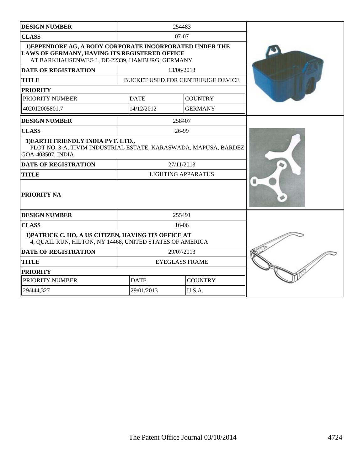| <b>DESIGN NUMBER</b>                                                                                                                                        |                               | 254483                            |   |
|-------------------------------------------------------------------------------------------------------------------------------------------------------------|-------------------------------|-----------------------------------|---|
| <b>CLASS</b>                                                                                                                                                |                               | $07-07$                           |   |
| 1) EPPENDORF AG, A BODY CORPORATE INCORPORATED UNDER THE<br>LAWS OF GERMANY, HAVING ITS REGISTERED OFFICE<br>AT BARKHAUSENWEG 1, DE-22339, HAMBURG, GERMANY |                               |                                   |   |
| <b>DATE OF REGISTRATION</b>                                                                                                                                 |                               | 13/06/2013                        |   |
| <b>TITLE</b>                                                                                                                                                |                               | BUCKET USED FOR CENTRIFUGE DEVICE |   |
| <b>PRIORITY</b>                                                                                                                                             |                               |                                   |   |
| PRIORITY NUMBER                                                                                                                                             | <b>DATE</b>                   | <b>COUNTRY</b>                    |   |
| 402012005801.7                                                                                                                                              | 14/12/2012                    | <b>GERMANY</b>                    |   |
| <b>DESIGN NUMBER</b>                                                                                                                                        |                               | 258407                            |   |
| <b>CLASS</b>                                                                                                                                                |                               | 26-99                             |   |
| 1) EARTH FRIENDLY INDIA PVT. LTD.,<br>PLOT NO. 3-A, TIVIM INDUSTRIAL ESTATE, KARASWADA, MAPUSA, BARDEZ<br>GOA-403507, INDIA                                 |                               |                                   |   |
| <b>DATE OF REGISTRATION</b>                                                                                                                                 |                               | 27/11/2013                        |   |
| <b>TITLE</b>                                                                                                                                                |                               | <b>LIGHTING APPARATUS</b>         |   |
| PRIORITY NA                                                                                                                                                 |                               |                                   | и |
| <b>DESIGN NUMBER</b>                                                                                                                                        |                               | 255491                            |   |
| <b>CLASS</b>                                                                                                                                                |                               | 16-06                             |   |
| 1) PATRICK C. HO, A US CITIZEN, HAVING ITS OFFICE AT<br>4, QUAIL RUN, HILTON, NY 14468, UNITED STATES OF AMERICA                                            |                               |                                   |   |
| <b>DATE OF REGISTRATION</b>                                                                                                                                 |                               | 29/07/2013                        |   |
| <b>TITLE</b>                                                                                                                                                |                               | <b>EYEGLASS FRAME</b>             |   |
| <b>PRIORITY</b>                                                                                                                                             |                               |                                   |   |
| PRIORITY NUMBER                                                                                                                                             | <b>DATE</b><br><b>COUNTRY</b> |                                   |   |
| 29/444,327                                                                                                                                                  | 29/01/2013                    | U.S.A.                            |   |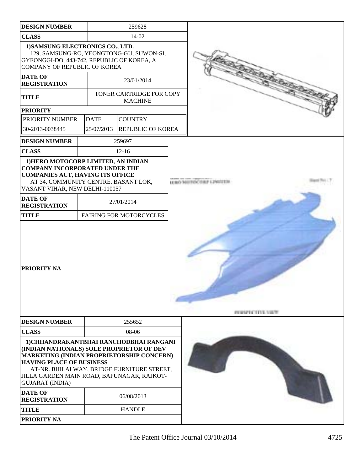| <b>DESIGN NUMBER</b>                                                                                                                                                                                                                                           |             | 259628                                            |  |                      |
|----------------------------------------------------------------------------------------------------------------------------------------------------------------------------------------------------------------------------------------------------------------|-------------|---------------------------------------------------|--|----------------------|
| <b>CLASS</b>                                                                                                                                                                                                                                                   |             | 14-02                                             |  |                      |
| 1) SAMSUNG ELECTRONICS CO., LTD.<br>GYEONGGI-DO, 443-742, REPUBLIC OF KOREA, A                                                                                                                                                                                 |             | 129, SAMSUNG-RO, YEONGTONG-GU, SUWON-SI,          |  |                      |
| <b>COMPANY OF REPUBLIC OF KOREA</b><br><b>DATE OF</b>                                                                                                                                                                                                          |             | 23/01/2014                                        |  |                      |
| <b>REGISTRATION</b>                                                                                                                                                                                                                                            |             |                                                   |  |                      |
| <b>TITLE</b>                                                                                                                                                                                                                                                   |             | <b>TONER CARTRIDGE FOR COPY</b><br><b>MACHINE</b> |  |                      |
| <b>PRIORITY</b>                                                                                                                                                                                                                                                |             |                                                   |  |                      |
| PRIORITY NUMBER                                                                                                                                                                                                                                                | <b>DATE</b> | <b>COUNTRY</b>                                    |  |                      |
| 30-2013-0038445                                                                                                                                                                                                                                                | 25/07/2013  | <b>REPUBLIC OF KOREA</b>                          |  |                      |
| <b>DESIGN NUMBER</b>                                                                                                                                                                                                                                           |             | 259697                                            |  |                      |
| <b>CLASS</b>                                                                                                                                                                                                                                                   |             | $12-16$                                           |  |                      |
| 1) HERO MOTOCORP LIMITED, AN INDIAN<br><b>COMPANY INCORPORATED UNDER THE</b><br><b>COMPANIES ACT, HAVING ITS OFFICE</b><br>AT 34, COMMUNITY CENTRE, BASANT LOK,<br>VASANT VIHAR, NEW DELHI-110057                                                              |             |                                                   |  |                      |
| <b>DATE OF</b><br><b>REGISTRATION</b>                                                                                                                                                                                                                          |             | 27/01/2014                                        |  |                      |
| <b>TITLE</b>                                                                                                                                                                                                                                                   |             | <b>FAIRING FOR MOTORCYCLES</b>                    |  |                      |
| PRIORITY NA                                                                                                                                                                                                                                                    |             |                                                   |  | <b>PERMITS TRUNK</b> |
| <b>DESIGN NUMBER</b>                                                                                                                                                                                                                                           |             | 255652                                            |  |                      |
| <b>CLASS</b>                                                                                                                                                                                                                                                   |             | 08-06                                             |  |                      |
| 1) CHHANDRAKANTBHAI RANCHODBHAI RANGANI<br>(INDIAN NATIONALS) SOLE PROPRIETOR OF DEV<br>MARKETING (INDIAN PROPRIETORSHIP CONCERN)<br><b>HAVING PLACE OF BUSINESS</b><br>JILLA GARDEN MAIN ROAD, BAPUNAGAR, RAJKOT-<br><b>GUJARAT (INDIA)</b><br><b>DATE OF</b> |             | AT-NR. BHILAI WAY, BRIDGE FURNITURE STREET,       |  |                      |
| <b>REGISTRATION</b>                                                                                                                                                                                                                                            |             | 06/08/2013                                        |  |                      |
| <b>TITLE</b>                                                                                                                                                                                                                                                   |             | <b>HANDLE</b>                                     |  |                      |
| <b>PRIORITY NA</b>                                                                                                                                                                                                                                             |             |                                                   |  |                      |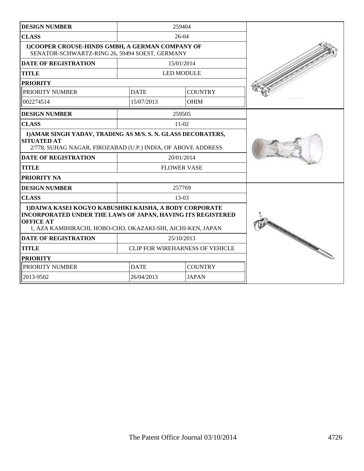| <b>DESIGN NUMBER</b>                                                                                                                                                                                             |                               | 259404                                 |  |
|------------------------------------------------------------------------------------------------------------------------------------------------------------------------------------------------------------------|-------------------------------|----------------------------------------|--|
| <b>CLASS</b>                                                                                                                                                                                                     |                               | $26-04$                                |  |
| 1) COOPER CROUSE-HINDS GMBH, A GERMAN COMPANY OF<br>SENATOR-SCHWARTZ-RING 26, 59494 SOEST, GERMANY                                                                                                               |                               |                                        |  |
| <b>DATE OF REGISTRATION</b>                                                                                                                                                                                      |                               | 15/01/2014                             |  |
| <b>TITLE</b>                                                                                                                                                                                                     |                               | <b>LED MODULE</b>                      |  |
| <b>PRIORITY</b>                                                                                                                                                                                                  |                               |                                        |  |
| PRIORITY NUMBER                                                                                                                                                                                                  | <b>DATE</b>                   | <b>COUNTRY</b>                         |  |
| 002274514                                                                                                                                                                                                        | 15/07/2013                    | <b>OHIM</b>                            |  |
| <b>DESIGN NUMBER</b>                                                                                                                                                                                             |                               | 259505                                 |  |
| <b>CLASS</b>                                                                                                                                                                                                     |                               | $11-02$                                |  |
| 1) AMAR SINGH YADAV, TRADING AS M/S. S. N. GLASS DECORATERS,<br><b>SITUATED AT</b><br>2/778, SUHAG NAGAR, FIROZABAD (U.P.) INDIA, OF ABOVE ADDRESS                                                               |                               |                                        |  |
| <b>DATE OF REGISTRATION</b>                                                                                                                                                                                      |                               | 20/01/2014                             |  |
| <b>TITLE</b>                                                                                                                                                                                                     |                               | <b>FLOWER VASE</b>                     |  |
| <b>PRIORITY NA</b>                                                                                                                                                                                               |                               |                                        |  |
| <b>DESIGN NUMBER</b>                                                                                                                                                                                             |                               | 257769                                 |  |
| <b>CLASS</b>                                                                                                                                                                                                     |                               | $13-03$                                |  |
| 1) DAIWA KASEI KOGYO KABUSHIKI KAISHA, A BODY CORPORATE<br><b>INCORPORATED UNDER THE LAWS OF JAPAN, HAVING ITS REGISTERED</b><br><b>OFFICE AT</b><br>1, AZA KAMIHIRACHI, HOBO-CHO, OKAZAKI-SHI, AICHI-KEN, JAPAN |                               |                                        |  |
| <b>DATE OF REGISTRATION</b>                                                                                                                                                                                      |                               | 25/10/2013                             |  |
| <b>TITLE</b>                                                                                                                                                                                                     |                               | <b>CLIP FOR WIREHARNESS OF VEHICLE</b> |  |
| <b>PRIORITY</b>                                                                                                                                                                                                  |                               |                                        |  |
| PRIORITY NUMBER                                                                                                                                                                                                  | <b>DATE</b><br><b>COUNTRY</b> |                                        |  |
| 2013-9502                                                                                                                                                                                                        | 26/04/2013<br><b>JAPAN</b>    |                                        |  |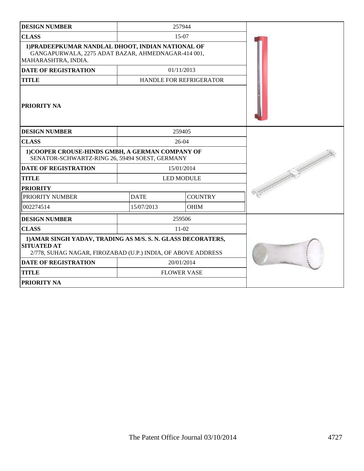| <b>DESIGN NUMBER</b>                                                                                                                               |                               | 257944                  |  |  |
|----------------------------------------------------------------------------------------------------------------------------------------------------|-------------------------------|-------------------------|--|--|
| <b>CLASS</b>                                                                                                                                       |                               | $15-07$                 |  |  |
| 1) PRADEEPKUMAR NANDLAL DHOOT, INDIAN NATIONAL OF<br>GANGAPURWALA, 2275 ADAT BAZAR, AHMEDNAGAR-414 001,<br>MAHARASHTRA, INDIA.                     |                               |                         |  |  |
| <b>DATE OF REGISTRATION</b>                                                                                                                        |                               | 01/11/2013              |  |  |
| <b>TITLE</b>                                                                                                                                       |                               | HANDLE FOR REFRIGERATOR |  |  |
| PRIORITY NA                                                                                                                                        |                               |                         |  |  |
| <b>DESIGN NUMBER</b>                                                                                                                               |                               | 259405                  |  |  |
| <b>CLASS</b>                                                                                                                                       |                               | 26-04                   |  |  |
| 1) COOPER CROUSE-HINDS GMBH, A GERMAN COMPANY OF<br>SENATOR-SCHWARTZ-RING 26, 59494 SOEST, GERMANY                                                 |                               |                         |  |  |
| <b>DATE OF REGISTRATION</b>                                                                                                                        |                               | 15/01/2014              |  |  |
| <b>TITLE</b>                                                                                                                                       |                               | <b>LED MODULE</b>       |  |  |
| <b>PRIORITY</b>                                                                                                                                    |                               |                         |  |  |
| PRIORITY NUMBER                                                                                                                                    | <b>COUNTRY</b><br><b>DATE</b> |                         |  |  |
| 002274514                                                                                                                                          | 15/07/2013                    | <b>OHIM</b>             |  |  |
| <b>DESIGN NUMBER</b>                                                                                                                               |                               | 259506                  |  |  |
| <b>CLASS</b>                                                                                                                                       |                               | $11-02$                 |  |  |
| 1) AMAR SINGH YADAV, TRADING AS M/S. S. N. GLASS DECORATERS,<br><b>SITUATED AT</b><br>2/778, SUHAG NAGAR, FIROZABAD (U.P.) INDIA, OF ABOVE ADDRESS |                               |                         |  |  |
| <b>DATE OF REGISTRATION</b>                                                                                                                        |                               | 20/01/2014              |  |  |
| <b>TITLE</b>                                                                                                                                       |                               | <b>FLOWER VASE</b>      |  |  |
| PRIORITY NA                                                                                                                                        |                               |                         |  |  |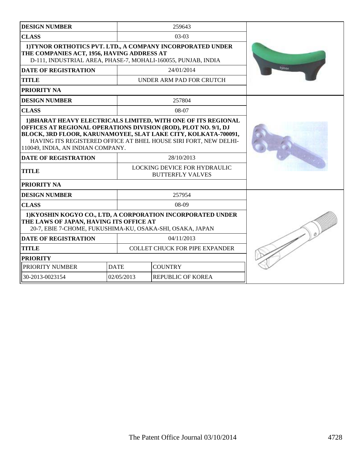| <b>DESIGN NUMBER</b>                                                                                                                                                                                                                       |             | 259643                                                  |       |
|--------------------------------------------------------------------------------------------------------------------------------------------------------------------------------------------------------------------------------------------|-------------|---------------------------------------------------------|-------|
| <b>CLASS</b>                                                                                                                                                                                                                               |             | $03-03$                                                 |       |
| 1) TYNOR ORTHOTICS PVT. LTD., A COMPANY INCORPORATED UNDER<br>THE COMPANIES ACT, 1956, HAVING ADDRESS AT<br>D-111, INDUSTRIAL AREA, PHASE-7, MOHALI-160055, PUNJAB, INDIA                                                                  |             |                                                         |       |
| <b>DATE OF REGISTRATION</b>                                                                                                                                                                                                                |             | 24/01/2014                                              | tynor |
| <b>TITLE</b>                                                                                                                                                                                                                               |             | UNDER ARM PAD FOR CRUTCH                                |       |
| PRIORITY NA                                                                                                                                                                                                                                |             |                                                         |       |
| <b>DESIGN NUMBER</b>                                                                                                                                                                                                                       |             | 257804                                                  |       |
| <b>CLASS</b>                                                                                                                                                                                                                               |             | 08-07                                                   |       |
| OFFICES AT REGIONAL OPERATIONS DIVISION (ROD), PLOT NO. 9/1, DJ<br>BLOCK, 3RD FLOOR, KARUNAMOYEE, SLAT LAKE CITY, KOLKATA-700091,<br>HAVING ITS REGISTERED OFFICE AT BHEL HOUSE SIRI FORT, NEW DELHI-<br>110049, INDIA, AN INDIAN COMPANY. |             |                                                         |       |
| <b>DATE OF REGISTRATION</b>                                                                                                                                                                                                                |             |                                                         |       |
| <b>TITLE</b>                                                                                                                                                                                                                               |             | LOCKING DEVICE FOR HYDRAULIC<br><b>BUTTERFLY VALVES</b> |       |
| PRIORITY NA                                                                                                                                                                                                                                |             |                                                         |       |
| <b>DESIGN NUMBER</b>                                                                                                                                                                                                                       |             | 257954                                                  |       |
| <b>CLASS</b>                                                                                                                                                                                                                               |             | $08-09$                                                 |       |
| 1) KYOSHIN KOGYO CO., LTD, A CORPORATION INCORPORATED UNDER<br>THE LAWS OF JAPAN, HAVING ITS OFFICE AT<br>20-7, EBIE 7-CHOME, FUKUSHIMA-KU, OSAKA-SHI, OSAKA, JAPAN                                                                        |             |                                                         |       |
| <b>DATE OF REGISTRATION</b>                                                                                                                                                                                                                |             | 04/11/2013                                              |       |
| <b>TITLE</b>                                                                                                                                                                                                                               |             | <b>COLLET CHUCK FOR PIPE EXPANDER</b>                   |       |
| <b>PRIORITY</b>                                                                                                                                                                                                                            |             |                                                         |       |
| PRIORITY NUMBER                                                                                                                                                                                                                            | <b>DATE</b> | <b>COUNTRY</b>                                          |       |
| 30-2013-0023154                                                                                                                                                                                                                            | 02/05/2013  | <b>REPUBLIC OF KOREA</b>                                |       |